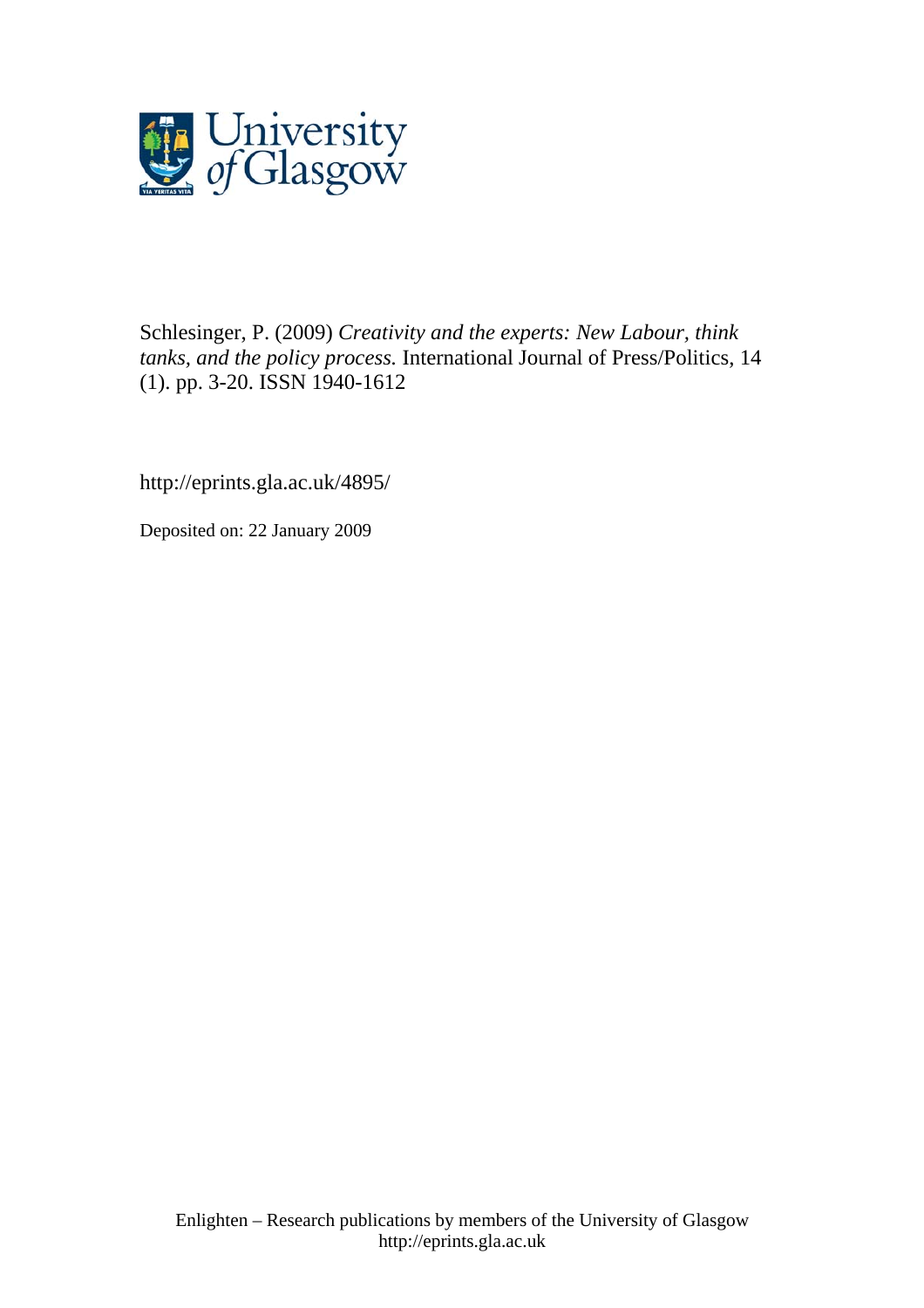

Schlesinger, P. (2009) *Creativity and the experts: New Labour, think tanks, and the policy process.* International Journal of Press/Politics, 14 (1). pp. 3-20. ISSN 1940-1612

http://eprints.gla.ac.uk/4895/

Deposited on: 22 January 2009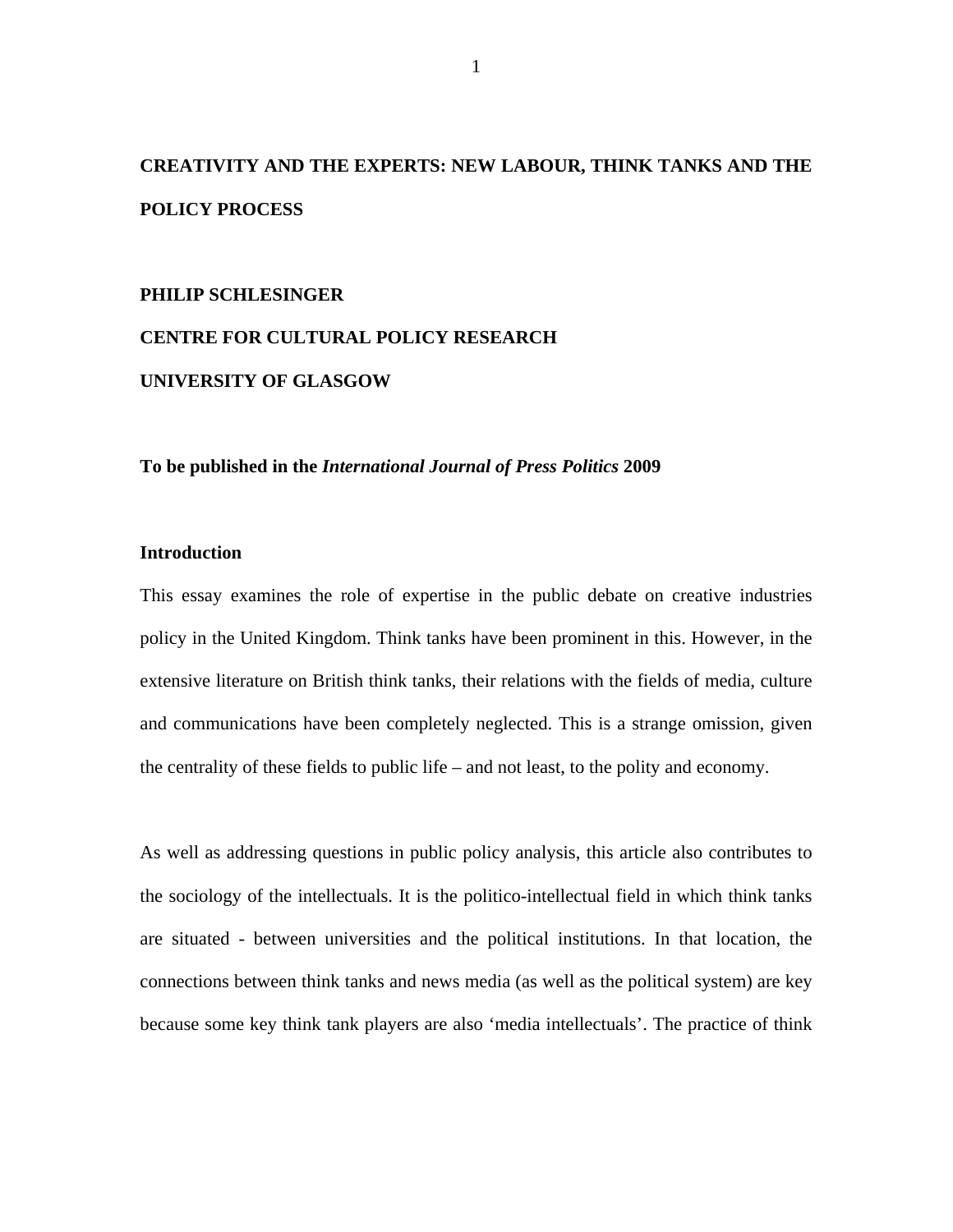# **CREATIVITY AND THE EXPERTS: NEW LABOUR, THINK TANKS AND THE POLICY PROCESS**

## **PHILIP SCHLESINGER**

# **CENTRE FOR CULTURAL POLICY RESEARCH UNIVERSITY OF GLASGOW**

**To be published in the** *International Journal of Press Politics* **2009** 

# **Introduction**

This essay examines the role of expertise in the public debate on creative industries policy in the United Kingdom. Think tanks have been prominent in this. However, in the extensive literature on British think tanks, their relations with the fields of media, culture and communications have been completely neglected. This is a strange omission, given the centrality of these fields to public life – and not least, to the polity and economy.

As well as addressing questions in public policy analysis, this article also contributes to the sociology of the intellectuals. It is the politico-intellectual field in which think tanks are situated - between universities and the political institutions. In that location, the connections between think tanks and news media (as well as the political system) are key because some key think tank players are also 'media intellectuals'. The practice of think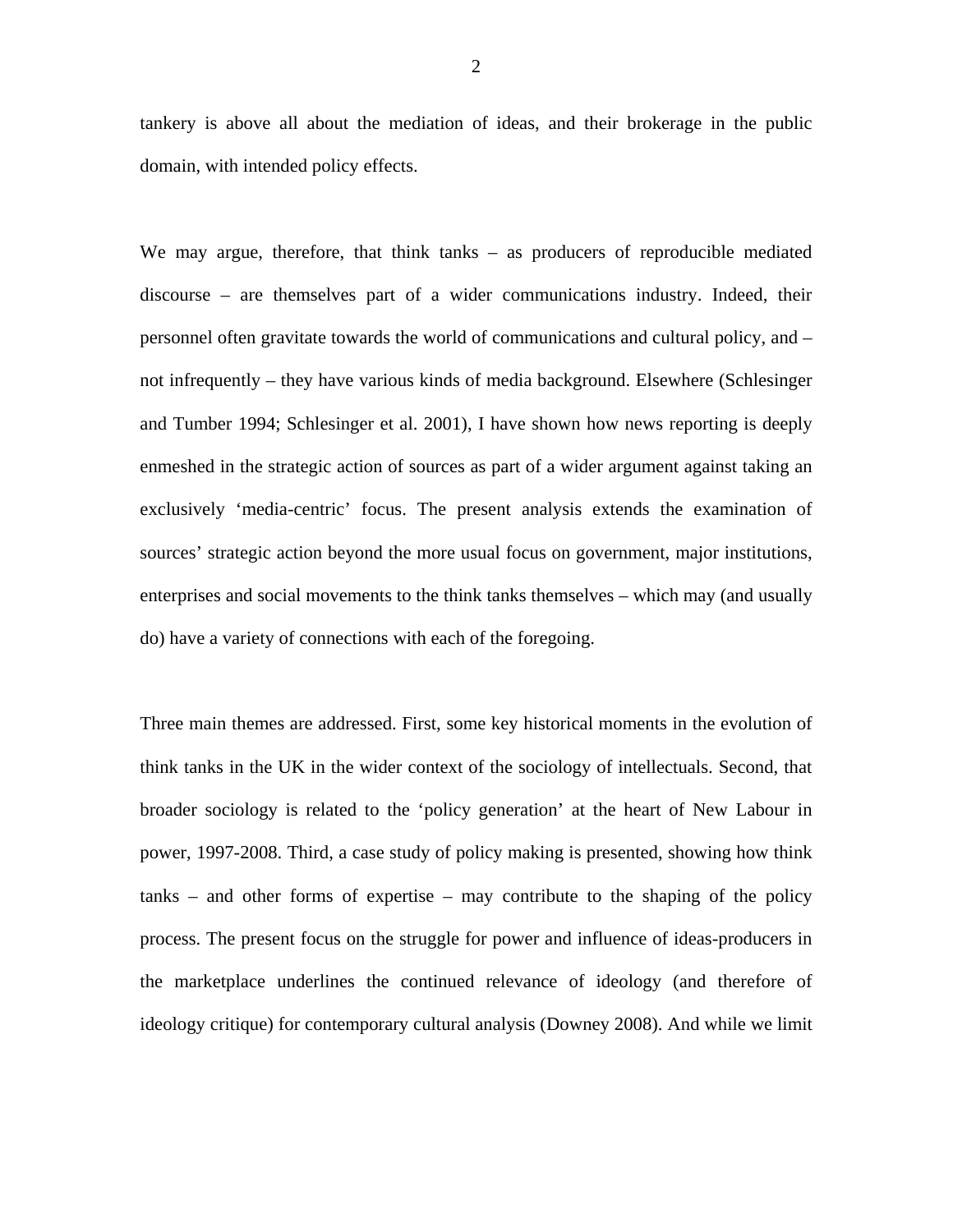tankery is above all about the mediation of ideas, and their brokerage in the public domain, with intended policy effects.

We may argue, therefore, that think tanks – as producers of reproducible mediated discourse – are themselves part of a wider communications industry. Indeed, their personnel often gravitate towards the world of communications and cultural policy, and – not infrequently – they have various kinds of media background. Elsewhere (Schlesinger and Tumber 1994; Schlesinger et al. 2001), I have shown how news reporting is deeply enmeshed in the strategic action of sources as part of a wider argument against taking an exclusively 'media-centric' focus. The present analysis extends the examination of sources' strategic action beyond the more usual focus on government, major institutions, enterprises and social movements to the think tanks themselves – which may (and usually do) have a variety of connections with each of the foregoing.

Three main themes are addressed. First, some key historical moments in the evolution of think tanks in the UK in the wider context of the sociology of intellectuals. Second, that broader sociology is related to the 'policy generation' at the heart of New Labour in power, 1997-2008. Third, a case study of policy making is presented, showing how think tanks – and other forms of expertise – may contribute to the shaping of the policy process. The present focus on the struggle for power and influence of ideas-producers in the marketplace underlines the continued relevance of ideology (and therefore of ideology critique) for contemporary cultural analysis (Downey 2008). And while we limit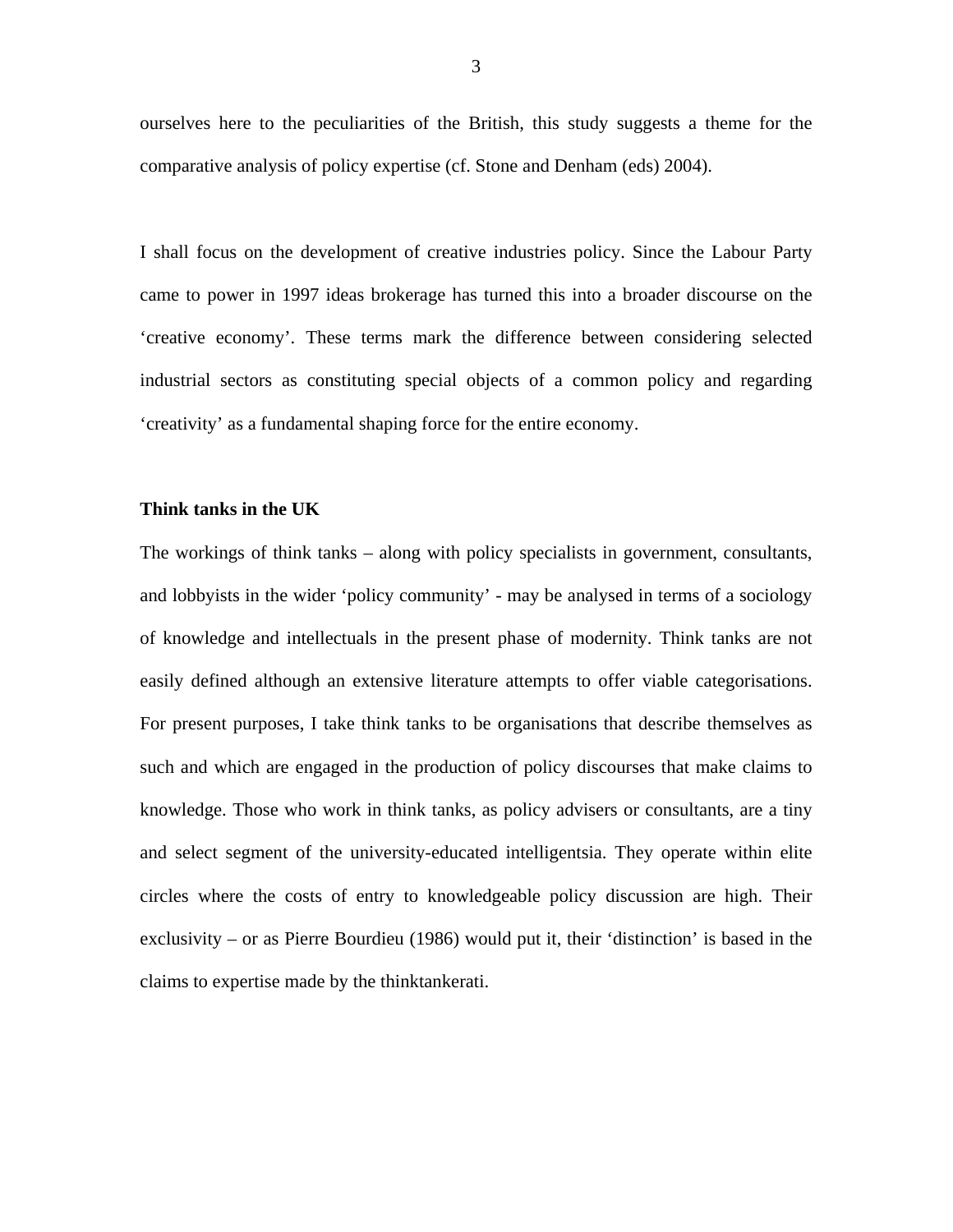ourselves here to the peculiarities of the British, this study suggests a theme for the comparative analysis of policy expertise (cf. Stone and Denham (eds) 2004).

I shall focus on the development of creative industries policy. Since the Labour Party came to power in 1997 ideas brokerage has turned this into a broader discourse on the 'creative economy'. These terms mark the difference between considering selected industrial sectors as constituting special objects of a common policy and regarding 'creativity' as a fundamental shaping force for the entire economy.

# **Think tanks in the UK**

The workings of think tanks – along with policy specialists in government, consultants, and lobbyists in the wider 'policy community' - may be analysed in terms of a sociology of knowledge and intellectuals in the present phase of modernity. Think tanks are not easily defined although an extensive literature attempts to offer viable categorisations. For present purposes, I take think tanks to be organisations that describe themselves as such and which are engaged in the production of policy discourses that make claims to knowledge. Those who work in think tanks, as policy advisers or consultants, are a tiny and select segment of the university-educated intelligentsia. They operate within elite circles where the costs of entry to knowledgeable policy discussion are high. Their exclusivity – or as Pierre Bourdieu (1986) would put it, their 'distinction' is based in the claims to expertise made by the thinktankerati.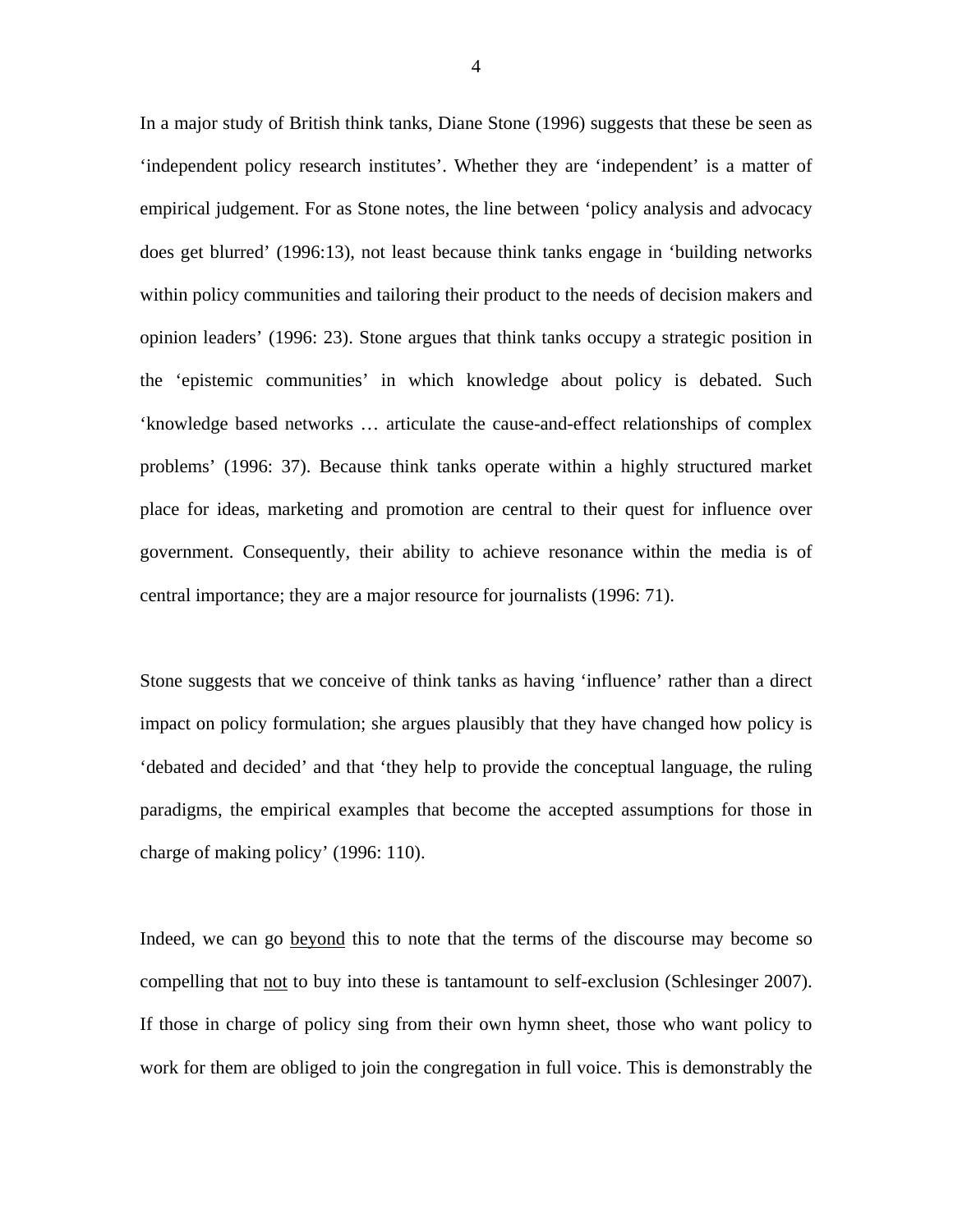In a major study of British think tanks, Diane Stone (1996) suggests that these be seen as 'independent policy research institutes'. Whether they are 'independent' is a matter of empirical judgement. For as Stone notes, the line between 'policy analysis and advocacy does get blurred' (1996:13), not least because think tanks engage in 'building networks within policy communities and tailoring their product to the needs of decision makers and opinion leaders' (1996: 23). Stone argues that think tanks occupy a strategic position in the 'epistemic communities' in which knowledge about policy is debated. Such 'knowledge based networks … articulate the cause-and-effect relationships of complex problems' (1996: 37). Because think tanks operate within a highly structured market place for ideas, marketing and promotion are central to their quest for influence over government. Consequently, their ability to achieve resonance within the media is of central importance; they are a major resource for journalists (1996: 71).

Stone suggests that we conceive of think tanks as having 'influence' rather than a direct impact on policy formulation; she argues plausibly that they have changed how policy is 'debated and decided' and that 'they help to provide the conceptual language, the ruling paradigms, the empirical examples that become the accepted assumptions for those in charge of making policy' (1996: 110).

Indeed, we can go beyond this to note that the terms of the discourse may become so compelling that not to buy into these is tantamount to self-exclusion (Schlesinger 2007). If those in charge of policy sing from their own hymn sheet, those who want policy to work for them are obliged to join the congregation in full voice. This is demonstrably the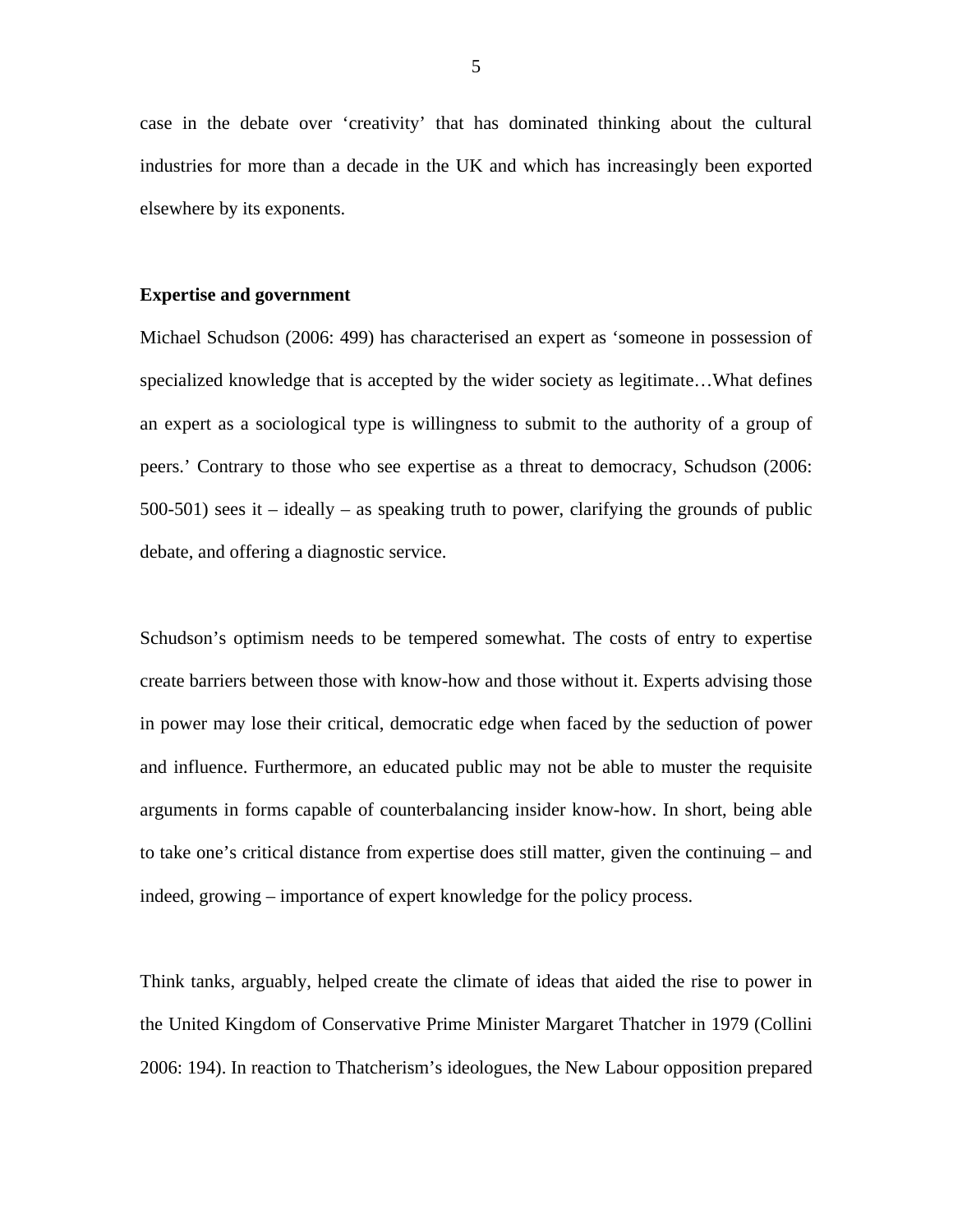case in the debate over 'creativity' that has dominated thinking about the cultural industries for more than a decade in the UK and which has increasingly been exported elsewhere by its exponents.

#### **Expertise and government**

Michael Schudson (2006: 499) has characterised an expert as 'someone in possession of specialized knowledge that is accepted by the wider society as legitimate…What defines an expert as a sociological type is willingness to submit to the authority of a group of peers.' Contrary to those who see expertise as a threat to democracy, Schudson (2006:  $500-501$ ) sees it – ideally – as speaking truth to power, clarifying the grounds of public debate, and offering a diagnostic service.

Schudson's optimism needs to be tempered somewhat. The costs of entry to expertise create barriers between those with know-how and those without it. Experts advising those in power may lose their critical, democratic edge when faced by the seduction of power and influence. Furthermore, an educated public may not be able to muster the requisite arguments in forms capable of counterbalancing insider know-how. In short, being able to take one's critical distance from expertise does still matter, given the continuing – and indeed, growing – importance of expert knowledge for the policy process.

Think tanks, arguably, helped create the climate of ideas that aided the rise to power in the United Kingdom of Conservative Prime Minister Margaret Thatcher in 1979 (Collini 2006: 194). In reaction to Thatcherism's ideologues, the New Labour opposition prepared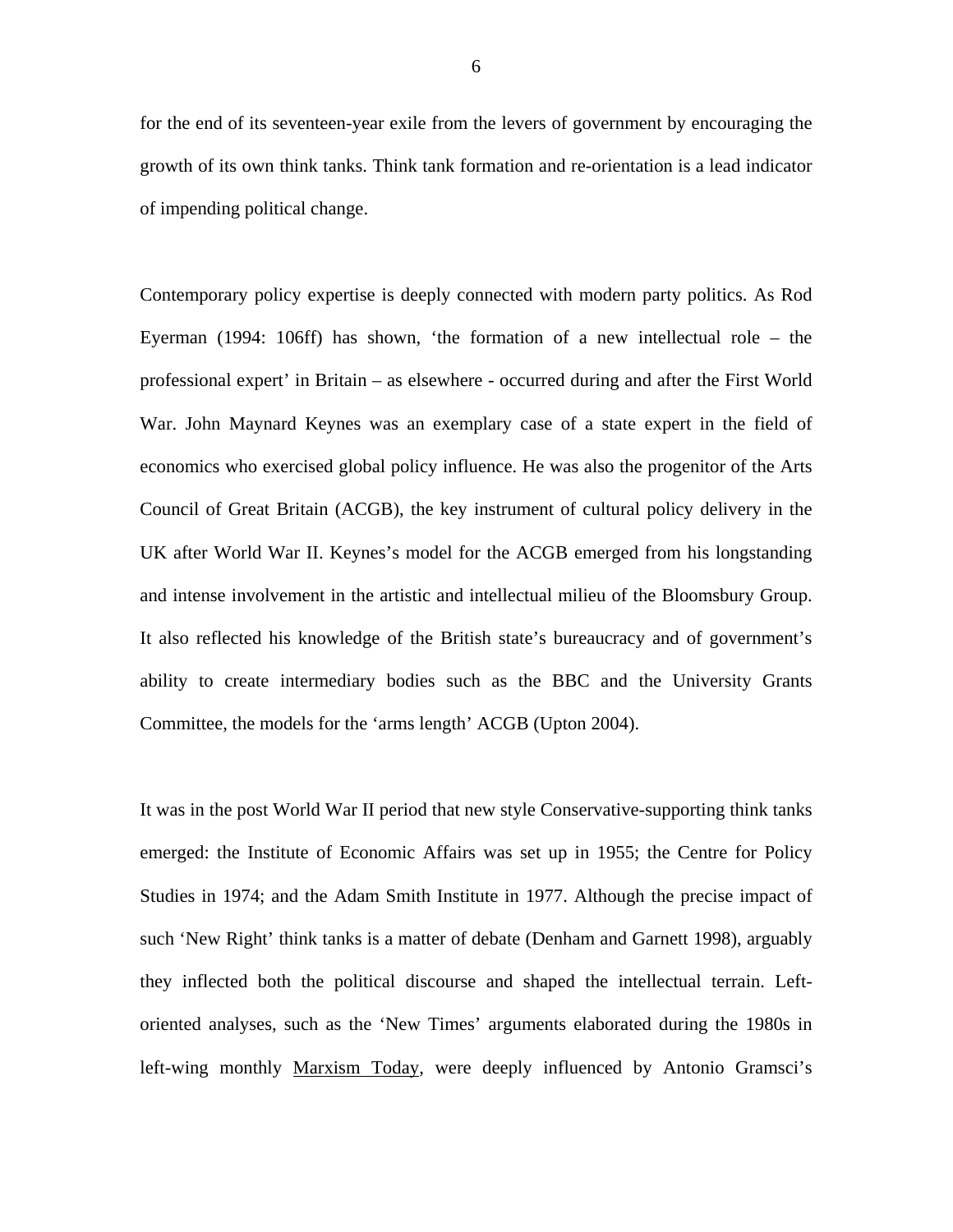for the end of its seventeen-year exile from the levers of government by encouraging the growth of its own think tanks. Think tank formation and re-orientation is a lead indicator of impending political change.

Contemporary policy expertise is deeply connected with modern party politics. As Rod Eyerman (1994: 106ff) has shown, 'the formation of a new intellectual role – the professional expert' in Britain – as elsewhere - occurred during and after the First World War. John Maynard Keynes was an exemplary case of a state expert in the field of economics who exercised global policy influence. He was also the progenitor of the Arts Council of Great Britain (ACGB), the key instrument of cultural policy delivery in the UK after World War II. Keynes's model for the ACGB emerged from his longstanding and intense involvement in the artistic and intellectual milieu of the Bloomsbury Group. It also reflected his knowledge of the British state's bureaucracy and of government's ability to create intermediary bodies such as the BBC and the University Grants Committee, the models for the 'arms length' ACGB (Upton 2004).

It was in the post World War II period that new style Conservative-supporting think tanks emerged: the Institute of Economic Affairs was set up in 1955; the Centre for Policy Studies in 1974; and the Adam Smith Institute in 1977. Although the precise impact of such 'New Right' think tanks is a matter of debate (Denham and Garnett 1998), arguably they inflected both the political discourse and shaped the intellectual terrain. Leftoriented analyses, such as the 'New Times' arguments elaborated during the 1980s in left-wing monthly Marxism Today, were deeply influenced by Antonio Gramsci's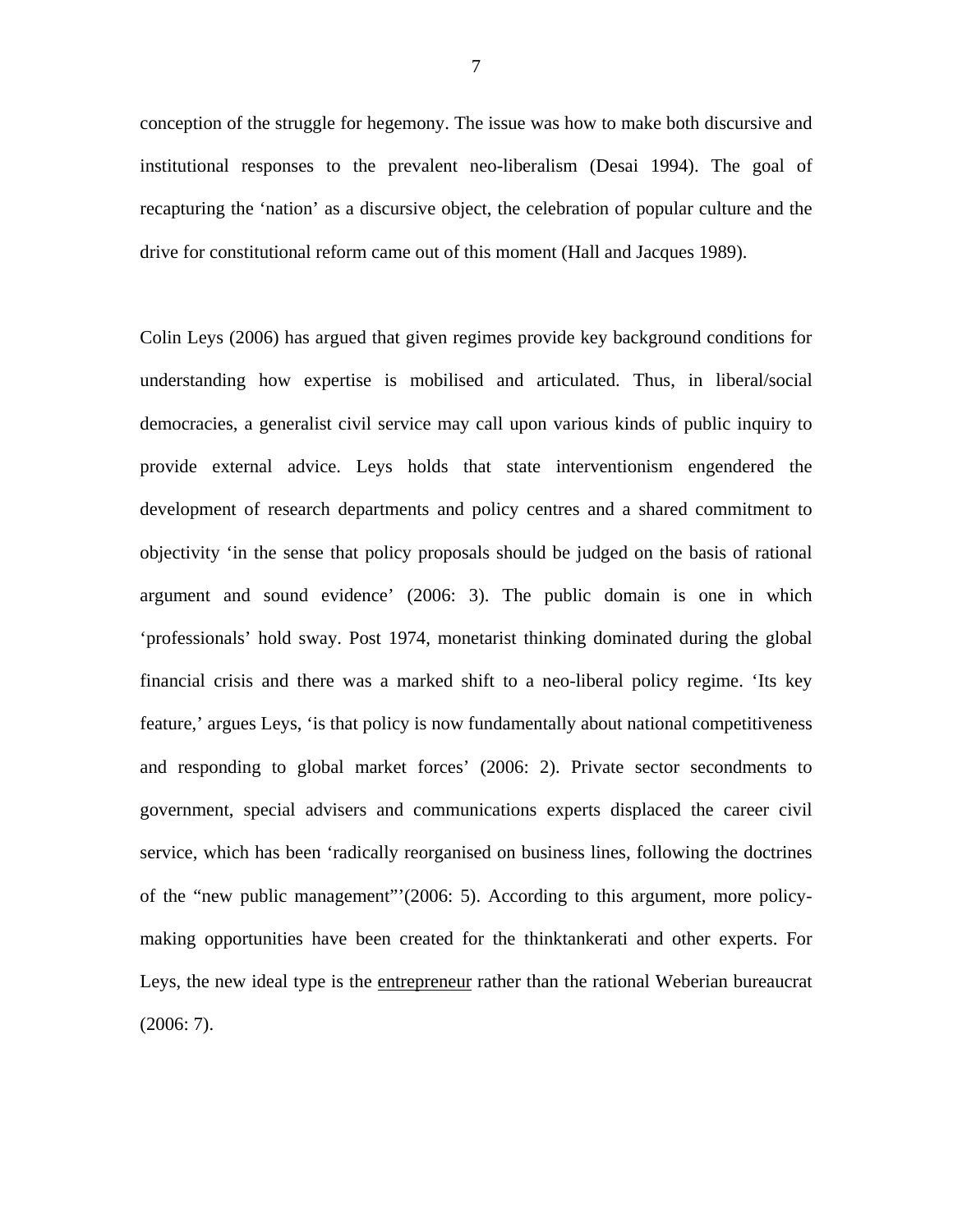conception of the struggle for hegemony. The issue was how to make both discursive and institutional responses to the prevalent neo-liberalism (Desai 1994). The goal of recapturing the 'nation' as a discursive object, the celebration of popular culture and the drive for constitutional reform came out of this moment (Hall and Jacques 1989).

Colin Leys (2006) has argued that given regimes provide key background conditions for understanding how expertise is mobilised and articulated. Thus, in liberal/social democracies, a generalist civil service may call upon various kinds of public inquiry to provide external advice. Leys holds that state interventionism engendered the development of research departments and policy centres and a shared commitment to objectivity 'in the sense that policy proposals should be judged on the basis of rational argument and sound evidence' (2006: 3). The public domain is one in which 'professionals' hold sway. Post 1974, monetarist thinking dominated during the global financial crisis and there was a marked shift to a neo-liberal policy regime. 'Its key feature,' argues Leys, 'is that policy is now fundamentally about national competitiveness and responding to global market forces' (2006: 2). Private sector secondments to government, special advisers and communications experts displaced the career civil service, which has been 'radically reorganised on business lines, following the doctrines of the "new public management"'(2006: 5). According to this argument, more policymaking opportunities have been created for the thinktankerati and other experts. For Leys, the new ideal type is the entrepreneur rather than the rational Weberian bureaucrat (2006: 7).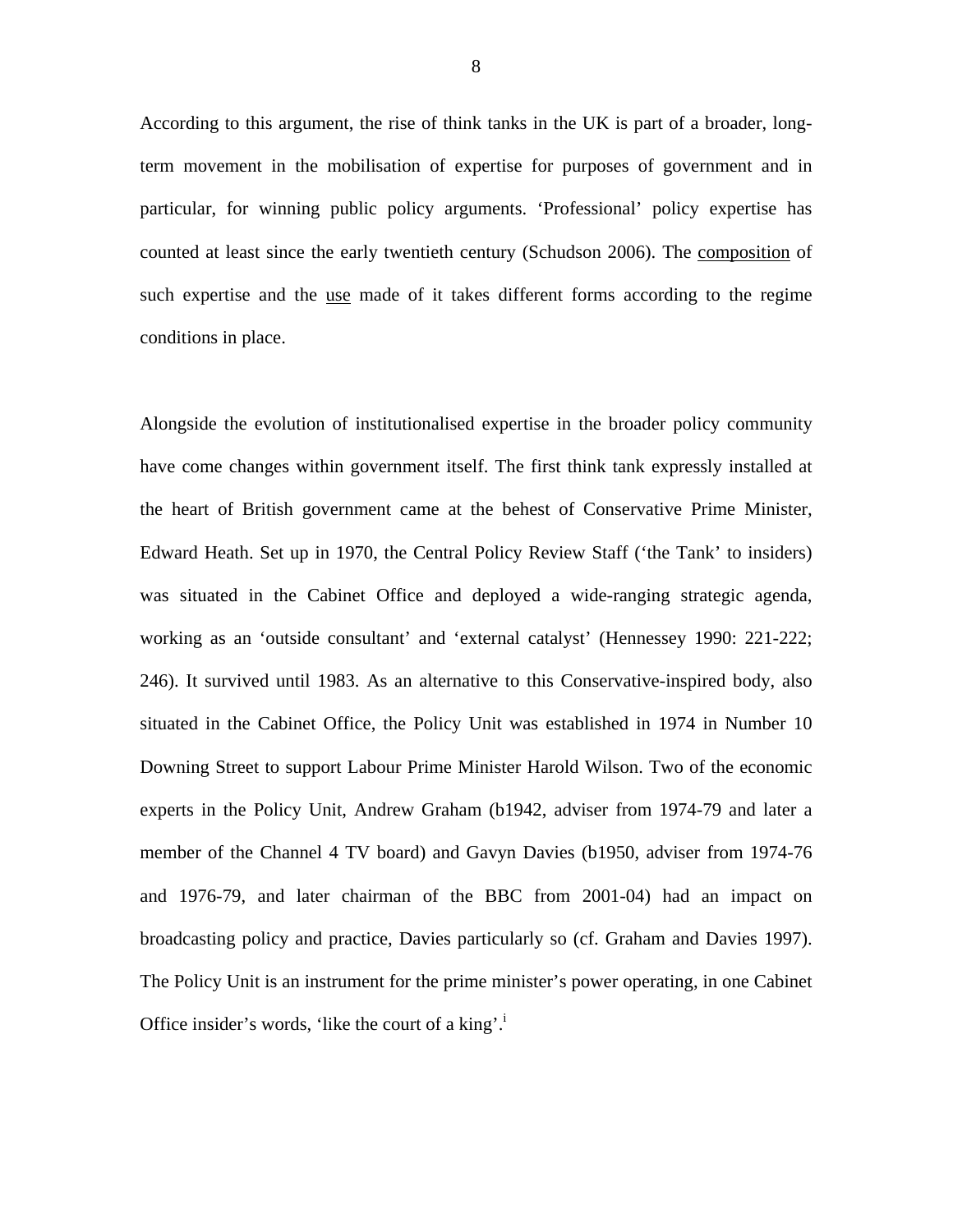According to this argument, the rise of think tanks in the UK is part of a broader, longterm movement in the mobilisation of expertise for purposes of government and in particular, for winning public policy arguments. 'Professional' policy expertise has counted at least since the early twentieth century (Schudson 2006). The composition of such expertise and the use made of it takes different forms according to the regime conditions in place.

Alongside the evolution of institutionalised expertise in the broader policy community have come changes within government itself. The first think tank expressly installed at the heart of British government came at the behest of Conservative Prime Minister, Edward Heath. Set up in 1970, the Central Policy Review Staff ('the Tank' to insiders) was situated in the Cabinet Office and deployed a wide-ranging strategic agenda, working as an 'outside consultant' and 'external catalyst' (Hennessey 1990: 221-222; 246). It survived until 1983. As an alternative to this Conservative-inspired body, also situated in the Cabinet Office, the Policy Unit was established in 1974 in Number 10 Downing Street to support Labour Prime Minister Harold Wilson. Two of the economic experts in the Policy Unit, Andrew Graham (b1942, adviser from 1974-79 and later a member of the Channel 4 TV board) and Gavyn Davies (b1950, adviser from 1974-76 and 1976-79, and later chairman of the BBC from 2001-04) had an impact on broadcasting policy and practice, Davies particularly so (cf. Graham and Davies 1997). The Policy Unit is an instrument for the prime minister's power operating, in one Cabinet Office insider's words, 'like the court of a king'.<sup>i</sup>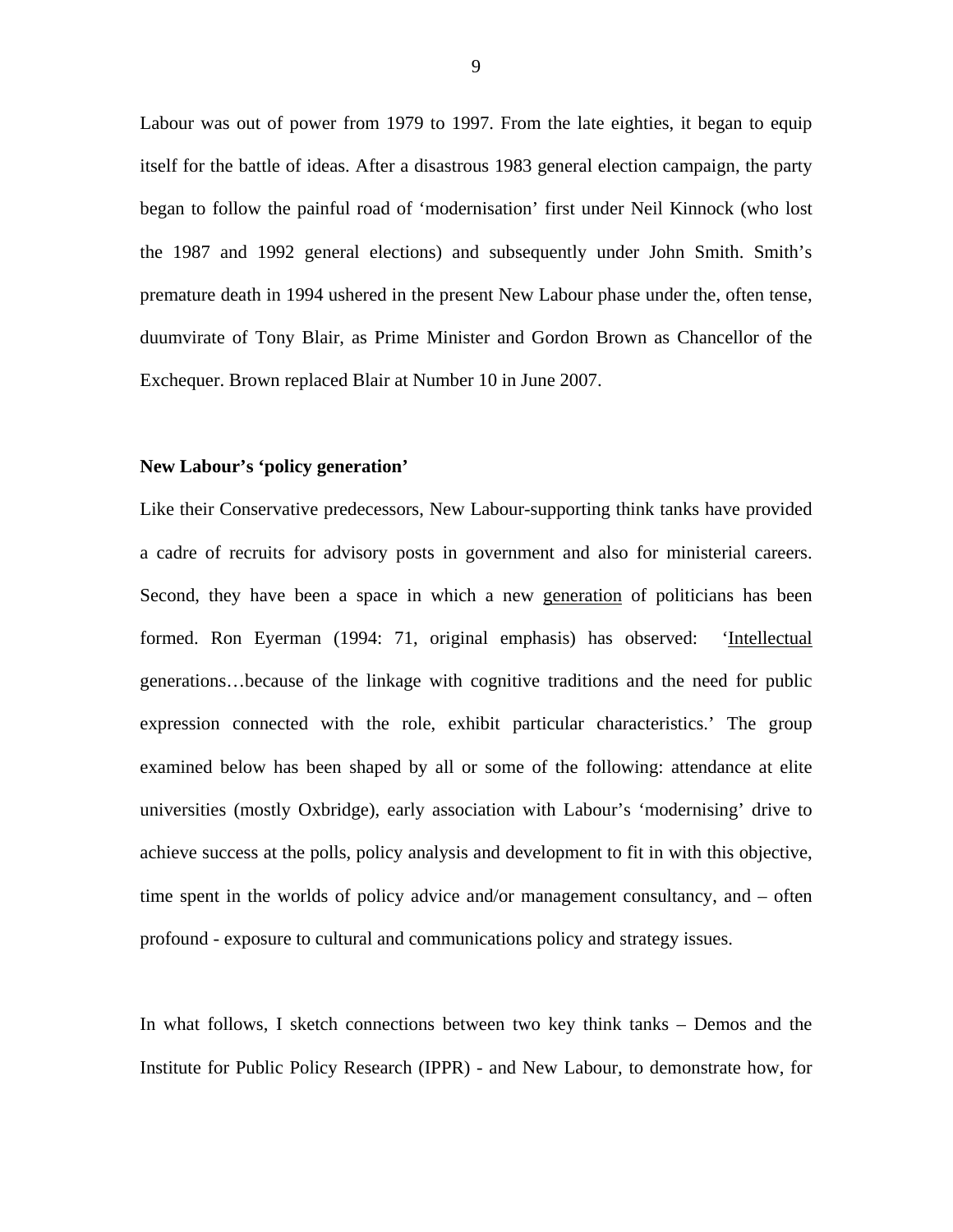Labour was out of power from 1979 to 1997. From the late eighties, it began to equip itself for the battle of ideas. After a disastrous 1983 general election campaign, the party began to follow the painful road of 'modernisation' first under Neil Kinnock (who lost the 1987 and 1992 general elections) and subsequently under John Smith. Smith's premature death in 1994 ushered in the present New Labour phase under the, often tense, duumvirate of Tony Blair, as Prime Minister and Gordon Brown as Chancellor of the Exchequer. Brown replaced Blair at Number 10 in June 2007.

# **New Labour's 'policy generation'**

Like their Conservative predecessors, New Labour-supporting think tanks have provided a cadre of recruits for advisory posts in government and also for ministerial careers. Second, they have been a space in which a new generation of politicians has been formed. Ron Eyerman (1994: 71, original emphasis) has observed: 'Intellectual generations…because of the linkage with cognitive traditions and the need for public expression connected with the role, exhibit particular characteristics.' The group examined below has been shaped by all or some of the following: attendance at elite universities (mostly Oxbridge), early association with Labour's 'modernising' drive to achieve success at the polls, policy analysis and development to fit in with this objective, time spent in the worlds of policy advice and/or management consultancy, and – often profound - exposure to cultural and communications policy and strategy issues.

In what follows, I sketch connections between two key think tanks – Demos and the Institute for Public Policy Research (IPPR) - and New Labour, to demonstrate how, for

9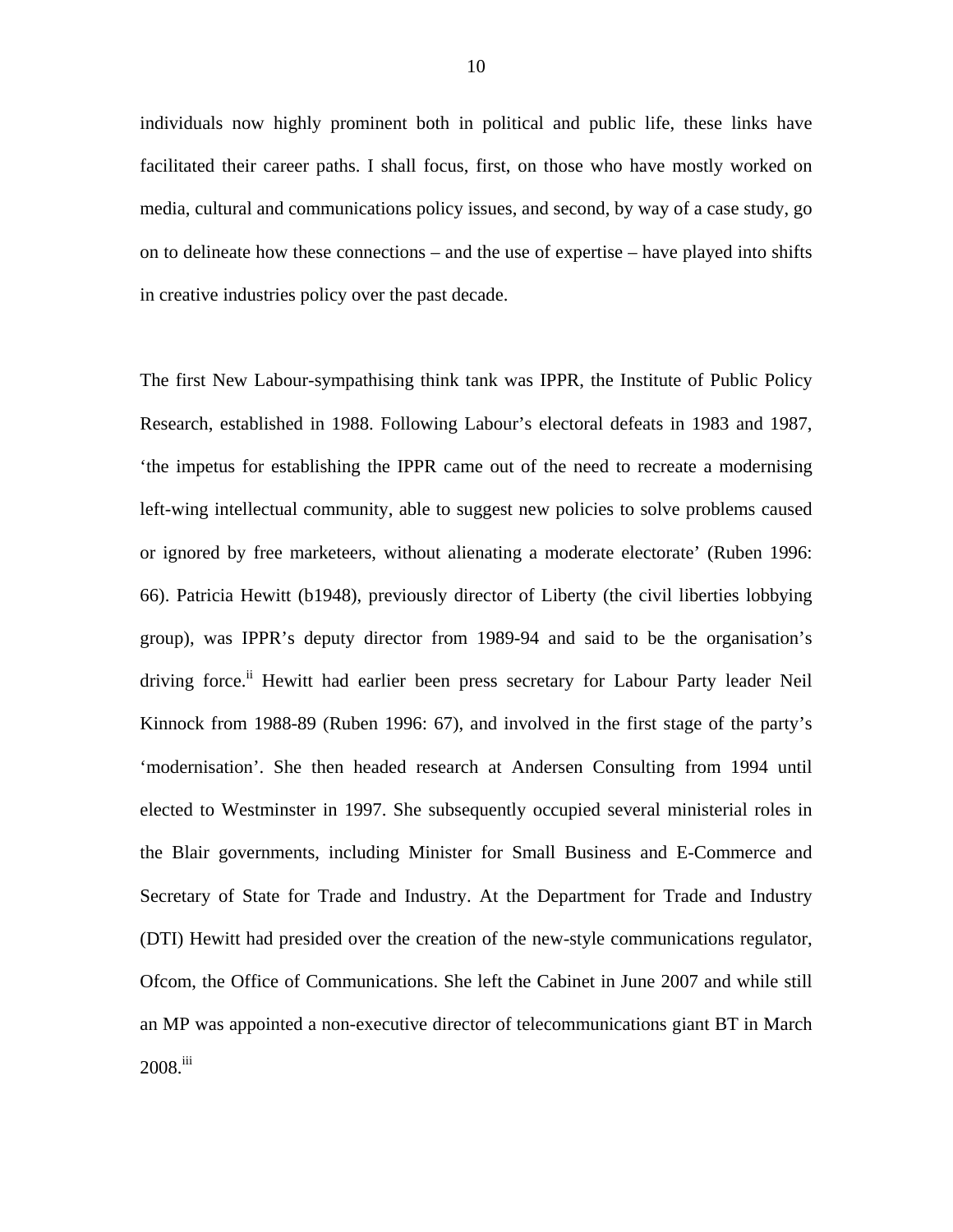individuals now highly prominent both in political and public life, these links have facilitated their career paths. I shall focus, first, on those who have mostly worked on media, cultural and communications policy issues, and second, by way of a case study, go on to delineate how these connections – and the use of expertise – have played into shifts in creative industries policy over the past decade.

The first New Labour-sympathising think tank was IPPR, the Institute of Public Policy Research, established in 1988. Following Labour's electoral defeats in 1983 and 1987, 'the impetus for establishing the IPPR came out of the need to recreate a modernising left-wing intellectual community, able to suggest new policies to solve problems caused or ignored by free marketeers, without alienating a moderate electorate' (Ruben 1996: 66). Patricia Hewitt (b1948), previously director of Liberty (the civil liberties lobbying group), was IPPR's deputy director from 1989-94 and said to be the organisation's driving force.<sup>ii</sup> Hewitt had earlier been press secretary for Labour Party leader Neil Kinnock from 1988-89 (Ruben 1996: 67), and involved in the first stage of the party's 'modernisation'. She then headed research at Andersen Consulting from 1994 until elected to Westminster in 1997. She subsequently occupied several ministerial roles in the Blair governments, including Minister for Small Business and E-Commerce and Secretary of State for Trade and Industry. At the Department for Trade and Industry (DTI) Hewitt had presided over the creation of the new-style communications regulator, Ofcom, the Office of Communications. She left the Cabinet in June 2007 and while still an MP was appointed a non-executive director of telecommunications giant BT in March  $2008$ .<sup>iii</sup>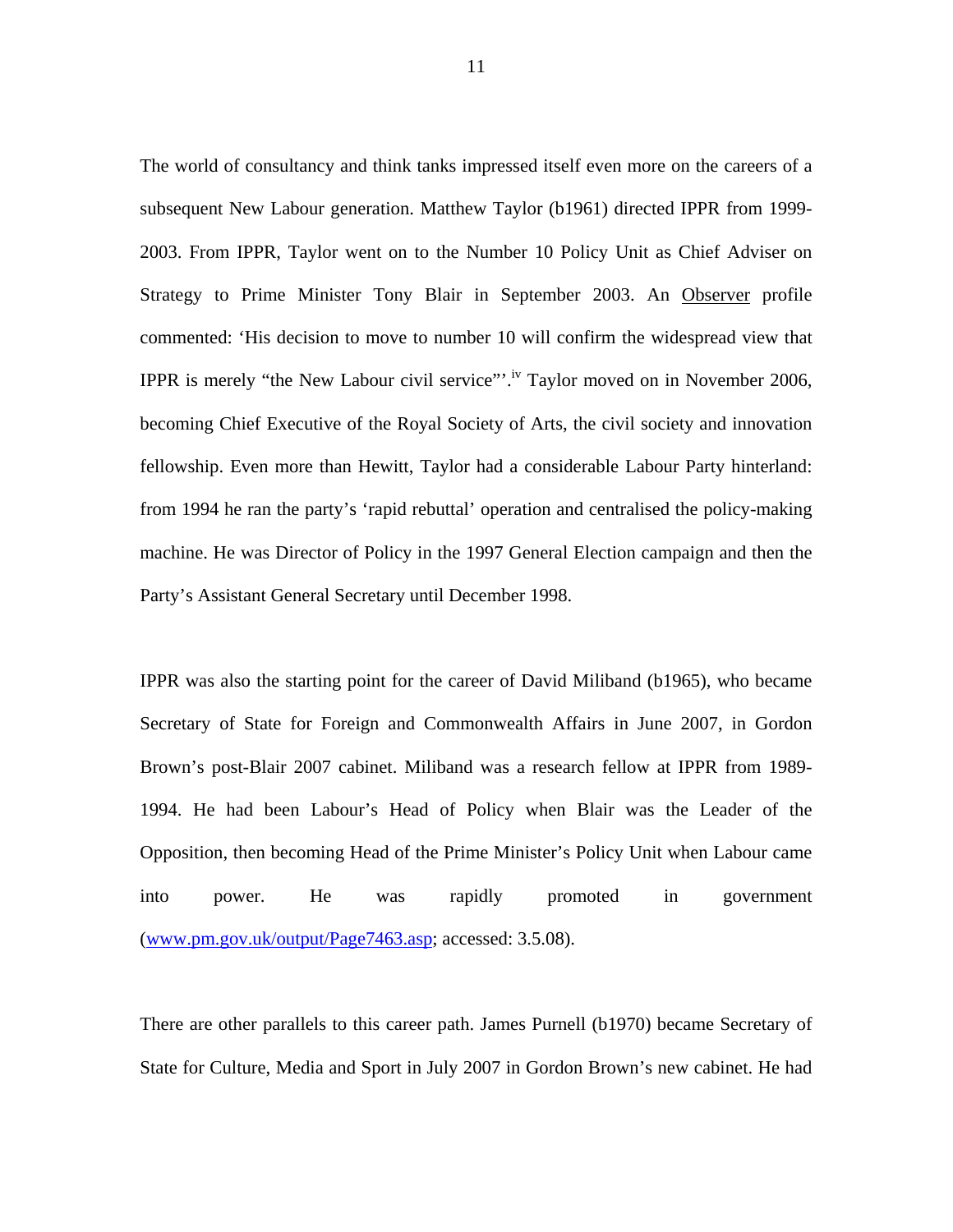The world of consultancy and think tanks impressed itself even more on the careers of a subsequent New Labour generation. Matthew Taylor (b1961) directed IPPR from 1999- 2003. From IPPR, Taylor went on to the Number 10 Policy Unit as Chief Adviser on Strategy to Prime Minister Tony Blair in September 2003. An Observer profile commented: 'His decision to move to number 10 will confirm the widespread view that IPPR is merely "the New Labour civil service"'.<sup>iv</sup> Taylor moved on in November 2006, becoming Chief Executive of the Royal Society of Arts, the civil society and innovation fellowship. Even more than Hewitt, Taylor had a considerable Labour Party hinterland: from 1994 he ran the party's 'rapid rebuttal' operation and centralised the policy-making machine. He was Director of Policy in the 1997 General Election campaign and then the Party's Assistant General Secretary until December 1998.

IPPR was also the starting point for the career of David Miliband (b1965), who became Secretary of State for Foreign and Commonwealth Affairs in June 2007, in Gordon Brown's post-Blair 2007 cabinet. Miliband was a research fellow at IPPR from 1989- 1994. He had been Labour's Head of Policy when Blair was the Leader of the Opposition, then becoming Head of the Prime Minister's Policy Unit when Labour came into power. He was rapidly promoted in government ([www.pm.gov.uk/output/Page7463.asp;](http://www.pm.gov.uk/output/Page7463.asp) accessed: 3.5.08).

There are other parallels to this career path. James Purnell (b1970) became Secretary of State for Culture, Media and Sport in July 2007 in Gordon Brown's new cabinet. He had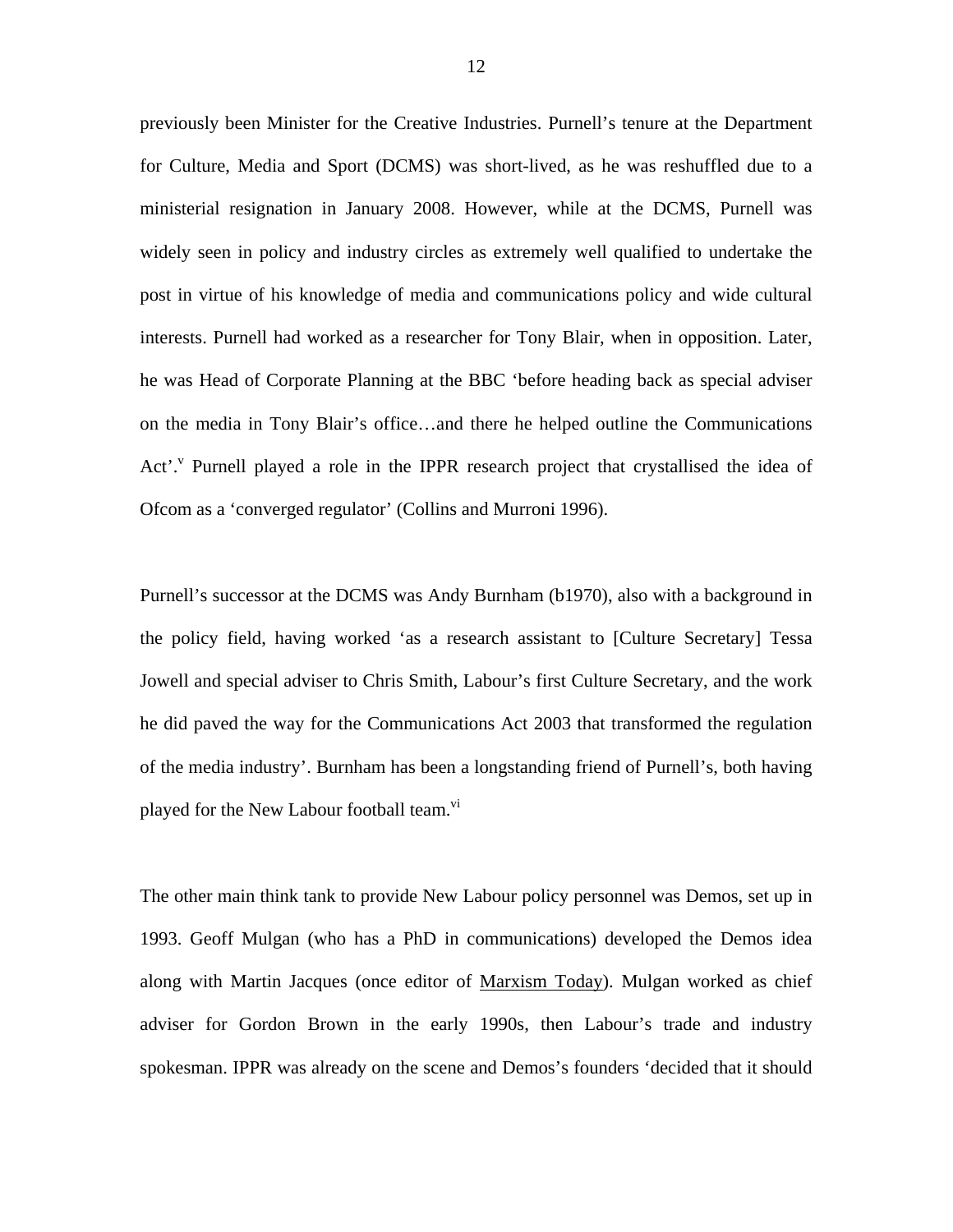previously been Minister for the Creative Industries. Purnell's tenure at the Department for Culture, Media and Sport (DCMS) was short-lived, as he was reshuffled due to a ministerial resignation in January 2008. However, while at the DCMS, Purnell was widely seen in policy and industry circles as extremely well qualified to undertake the post in virtue of his knowledge of media and communications policy and wide cultural interests. Purnell had worked as a researcher for Tony Blair, when in opposition. Later, he was Head of Corporate Planning at the BBC 'before heading back as special adviser on the media in Tony Blair's office…and there he helped outline the Communications Act'.<sup>[v](#page-35-4)</sup> Purnell played a role in the IPPR research project that crystallised the idea of Ofcom as a 'converged regulator' (Collins and Murroni 1996).

Purnell's successor at the DCMS was Andy Burnham (b1970), also with a background in the policy field, having worked 'as a research assistant to [Culture Secretary] Tessa Jowell and special adviser to Chris Smith, Labour's first Culture Secretary, and the work he did paved the way for the Communications Act 2003 that transformed the regulation of the media industry'. Burnham has been a longstanding friend of Purnell's, both having played for the New Labour football team.<sup>vi</sup>

The other main think tank to provide New Labour policy personnel was Demos, set up in 1993. Geoff Mulgan (who has a PhD in communications) developed the Demos idea along with Martin Jacques (once editor of Marxism Today). Mulgan worked as chief adviser for Gordon Brown in the early 1990s, then Labour's trade and industry spokesman. IPPR was already on the scene and Demos's founders 'decided that it should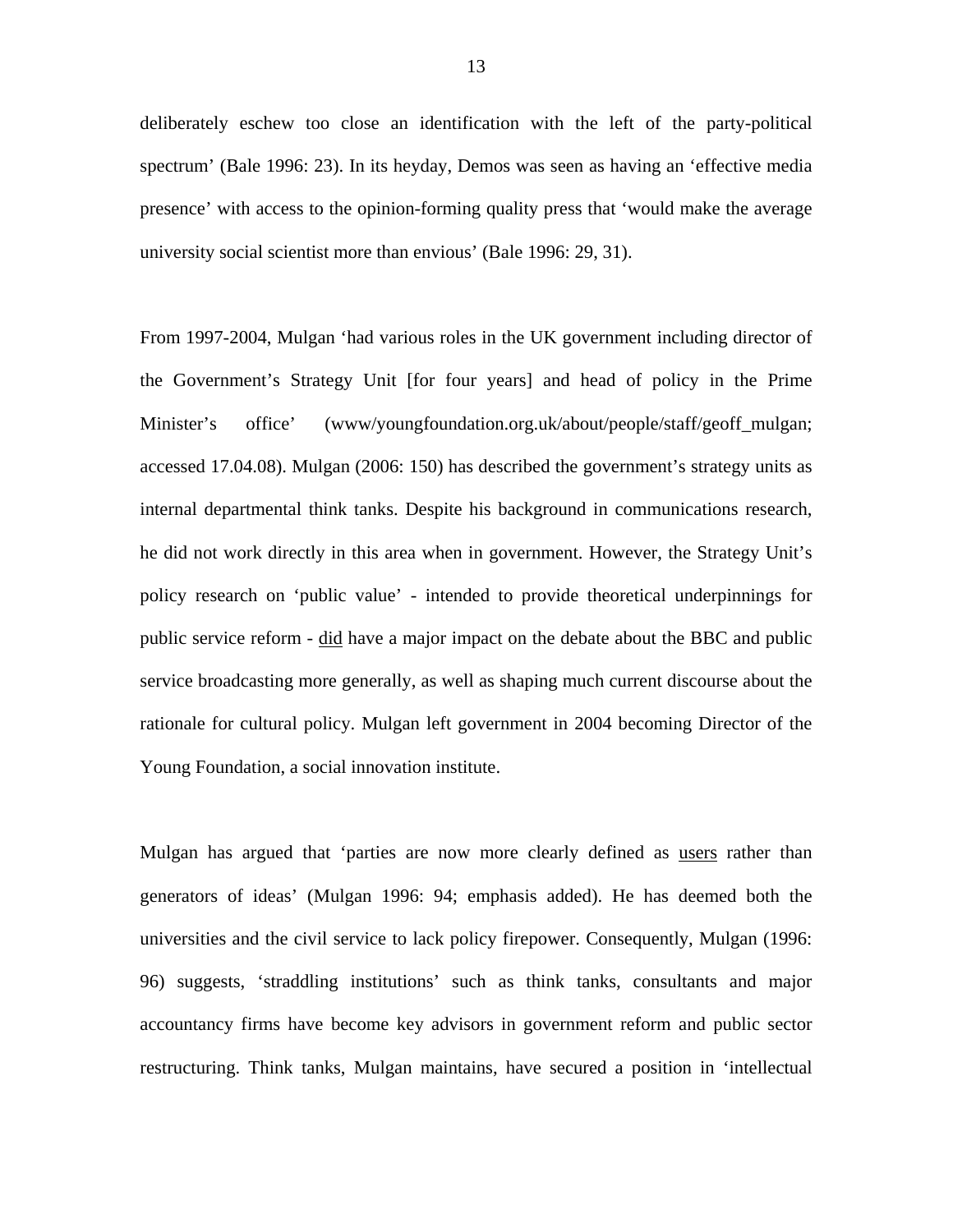deliberately eschew too close an identification with the left of the party-political spectrum' (Bale 1996: 23). In its heyday, Demos was seen as having an 'effective media presence' with access to the opinion-forming quality press that 'would make the average university social scientist more than envious' (Bale 1996: 29, 31).

From 1997-2004, Mulgan 'had various roles in the UK government including director of the Government's Strategy Unit [for four years] and head of policy in the Prime Minister's office' (www/youngfoundation.org.uk/about/people/staff/geoff\_mulgan; accessed 17.04.08). Mulgan (2006: 150) has described the government's strategy units as internal departmental think tanks. Despite his background in communications research, he did not work directly in this area when in government. However, the Strategy Unit's policy research on 'public value' - intended to provide theoretical underpinnings for public service reform - did have a major impact on the debate about the BBC and public service broadcasting more generally, as well as shaping much current discourse about the rationale for cultural policy. Mulgan left government in 2004 becoming Director of the Young Foundation, a social innovation institute.

Mulgan has argued that 'parties are now more clearly defined as users rather than generators of ideas' (Mulgan 1996: 94; emphasis added). He has deemed both the universities and the civil service to lack policy firepower. Consequently, Mulgan (1996: 96) suggests, 'straddling institutions' such as think tanks, consultants and major accountancy firms have become key advisors in government reform and public sector restructuring. Think tanks, Mulgan maintains, have secured a position in 'intellectual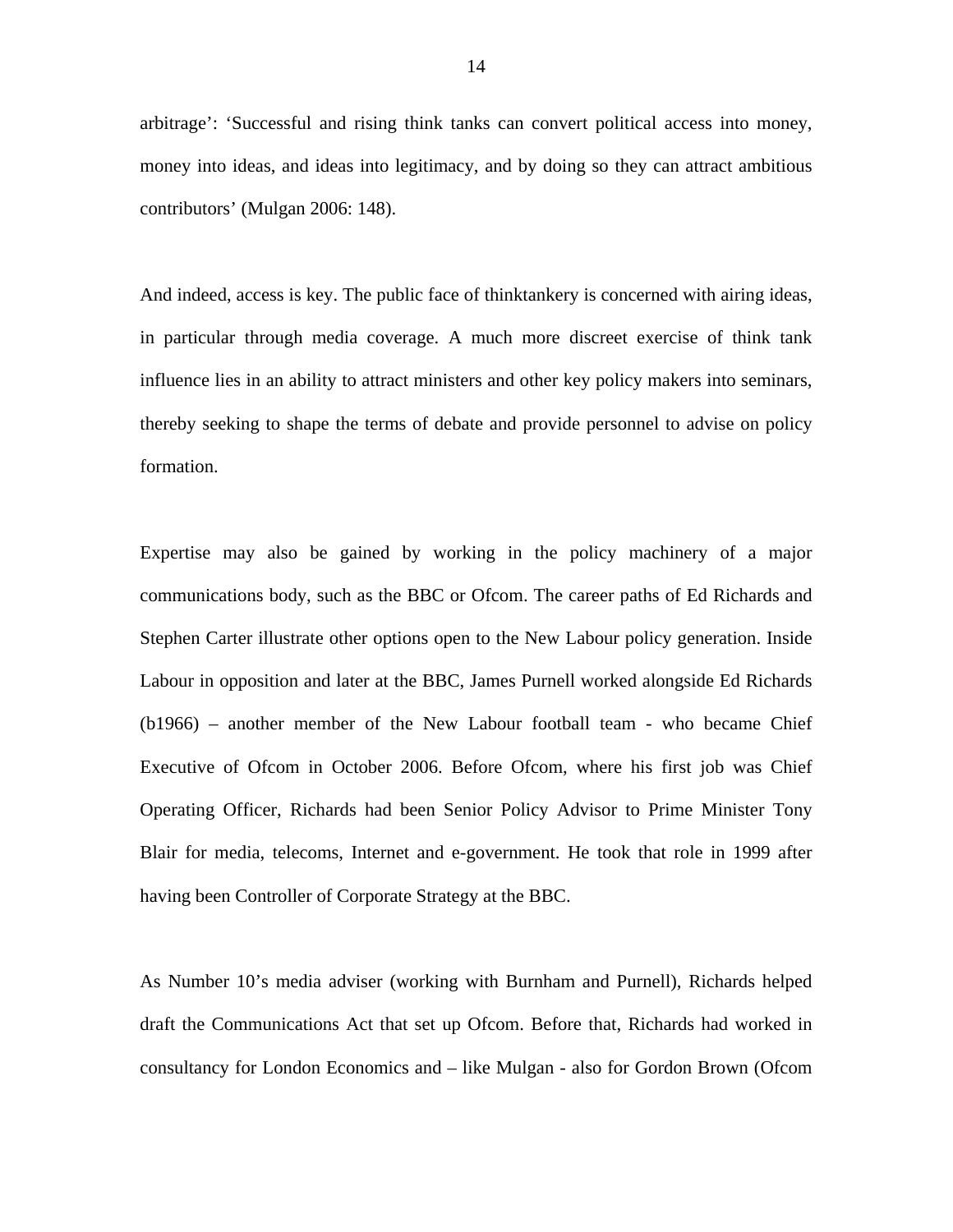arbitrage': 'Successful and rising think tanks can convert political access into money, money into ideas, and ideas into legitimacy, and by doing so they can attract ambitious contributors' (Mulgan 2006: 148).

And indeed, access is key. The public face of thinktankery is concerned with airing ideas, in particular through media coverage. A much more discreet exercise of think tank influence lies in an ability to attract ministers and other key policy makers into seminars, thereby seeking to shape the terms of debate and provide personnel to advise on policy formation.

Expertise may also be gained by working in the policy machinery of a major communications body, such as the BBC or Ofcom. The career paths of Ed Richards and Stephen Carter illustrate other options open to the New Labour policy generation. Inside Labour in opposition and later at the BBC, James Purnell worked alongside Ed Richards (b1966) – another member of the New Labour football team - who became Chief Executive of Ofcom in October 2006. Before Ofcom, where his first job was Chief Operating Officer, Richards had been Senior Policy Advisor to Prime Minister Tony Blair for media, telecoms, Internet and e-government. He took that role in 1999 after having been Controller of Corporate Strategy at the BBC.

As Number 10's media adviser (working with Burnham and Purnell), Richards helped draft the Communications Act that set up Ofcom. Before that, Richards had worked in consultancy for London Economics and – like Mulgan - also for Gordon Brown (Ofcom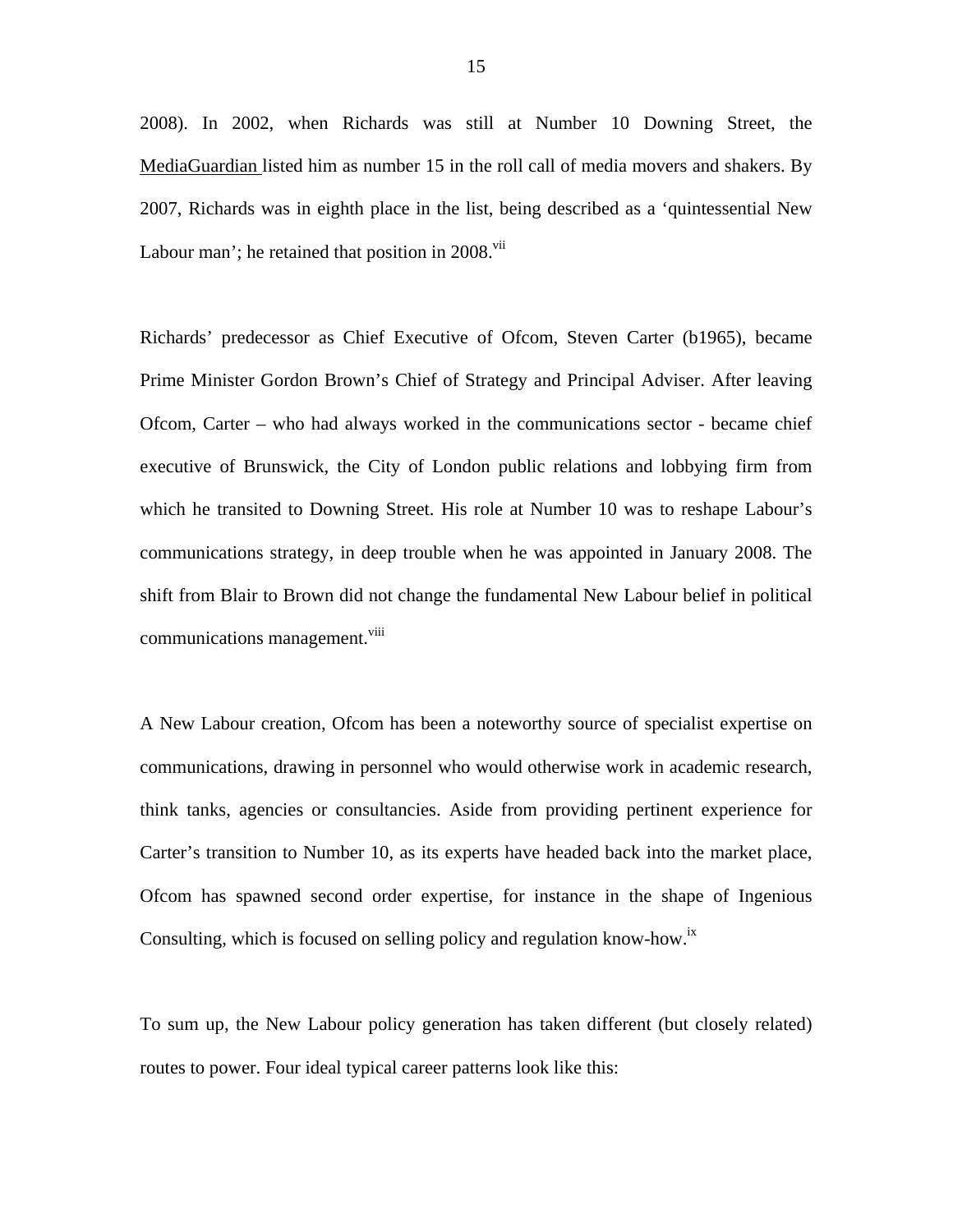2008). In 2002, when Richards was still at Number 10 Downing Street, the MediaGuardian listed him as number 15 in the roll call of media movers and shakers. By 2007, Richards was in eighth place in the list, being described as a 'quintessential New Labour man'; he retained that position in  $2008$ .<sup>vii</sup>

Richards' predecessor as Chief Executive of Ofcom, Steven Carter (b1965), became Prime Minister Gordon Brown's Chief of Strategy and Principal Adviser. After leaving Ofcom, Carter – who had always worked in the communications sector - became chief executive of Brunswick, the City of London public relations and lobbying firm from which he transited to Downing Street. His role at Number 10 was to reshape Labour's communications strategy, in deep trouble when he was appointed in January 2008. The shift from Blair to Brown did not change the fundamental New Labour belief in political communications management.<sup>[viii](#page-35-7)</sup>

A New Labour creation, Ofcom has been a noteworthy source of specialist expertise on communications, drawing in personnel who would otherwise work in academic research, think tanks, agencies or consultancies. Aside from providing pertinent experience for Carter's transition to Number 10, as its experts have headed back into the market place, Ofcom has spawned second order expertise, for instance in the shape of Ingenious Consulting, which is focused on selling policy and regulation know-how.<sup>[ix](#page-35-8)</sup>

To sum up, the New Labour policy generation has taken different (but closely related) routes to power. Four ideal typical career patterns look like this: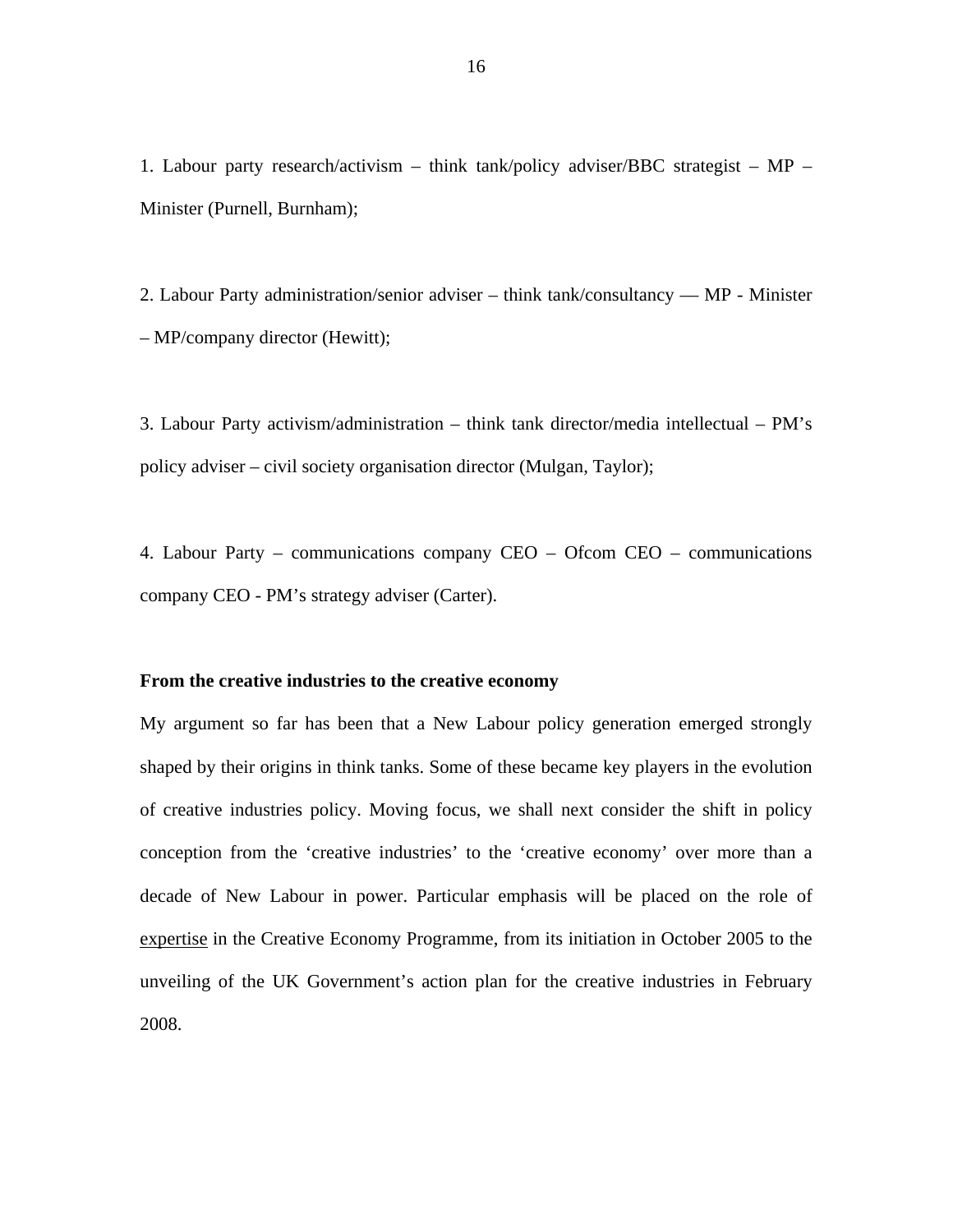1. Labour party research/activism – think tank/policy adviser/BBC strategist – MP – Minister (Purnell, Burnham);

2. Labour Party administration/senior adviser – think tank/consultancy –– MP - Minister – MP/company director (Hewitt);

3. Labour Party activism/administration – think tank director/media intellectual – PM's policy adviser – civil society organisation director (Mulgan, Taylor);

4. Labour Party – communications company CEO – Ofcom CEO – communications company CEO - PM's strategy adviser (Carter).

# **From the creative industries to the creative economy**

My argument so far has been that a New Labour policy generation emerged strongly shaped by their origins in think tanks. Some of these became key players in the evolution of creative industries policy. Moving focus, we shall next consider the shift in policy conception from the 'creative industries' to the 'creative economy' over more than a decade of New Labour in power. Particular emphasis will be placed on the role of expertise in the Creative Economy Programme, from its initiation in October 2005 to the unveiling of the UK Government's action plan for the creative industries in February 2008.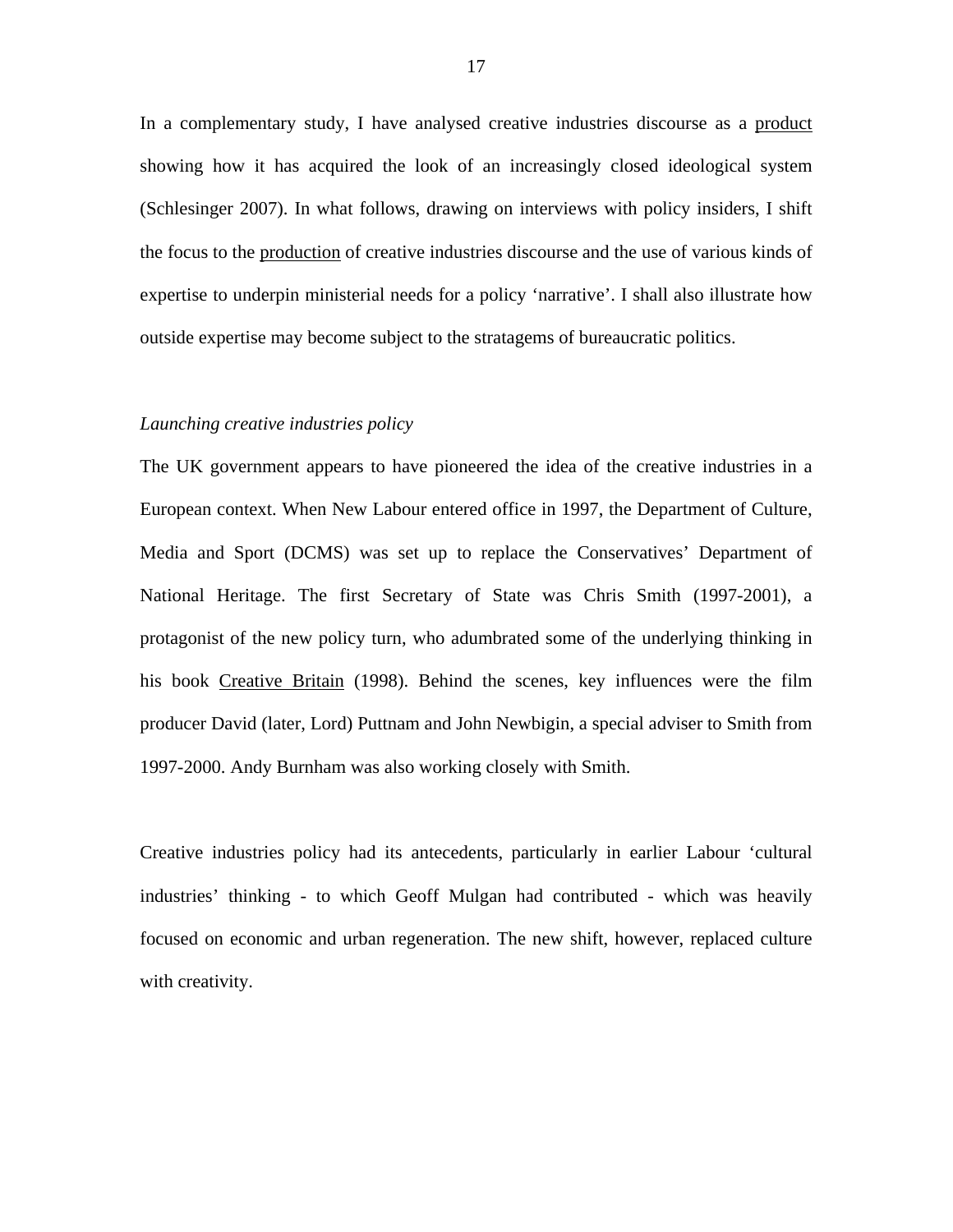In a complementary study, I have analysed creative industries discourse as a product showing how it has acquired the look of an increasingly closed ideological system (Schlesinger 2007). In what follows, drawing on interviews with policy insiders, I shift the focus to the production of creative industries discourse and the use of various kinds of expertise to underpin ministerial needs for a policy 'narrative'. I shall also illustrate how outside expertise may become subject to the stratagems of bureaucratic politics.

#### *Launching creative industries policy*

The UK government appears to have pioneered the idea of the creative industries in a European context. When New Labour entered office in 1997, the Department of Culture, Media and Sport (DCMS) was set up to replace the Conservatives' Department of National Heritage. The first Secretary of State was Chris Smith (1997-2001), a protagonist of the new policy turn, who adumbrated some of the underlying thinking in his book Creative Britain (1998). Behind the scenes, key influences were the film producer David (later, Lord) Puttnam and John Newbigin, a special adviser to Smith from 1997-2000. Andy Burnham was also working closely with Smith.

Creative industries policy had its antecedents, particularly in earlier Labour 'cultural industries' thinking - to which Geoff Mulgan had contributed - which was heavily focused on economic and urban regeneration. The new shift, however, replaced culture with creativity.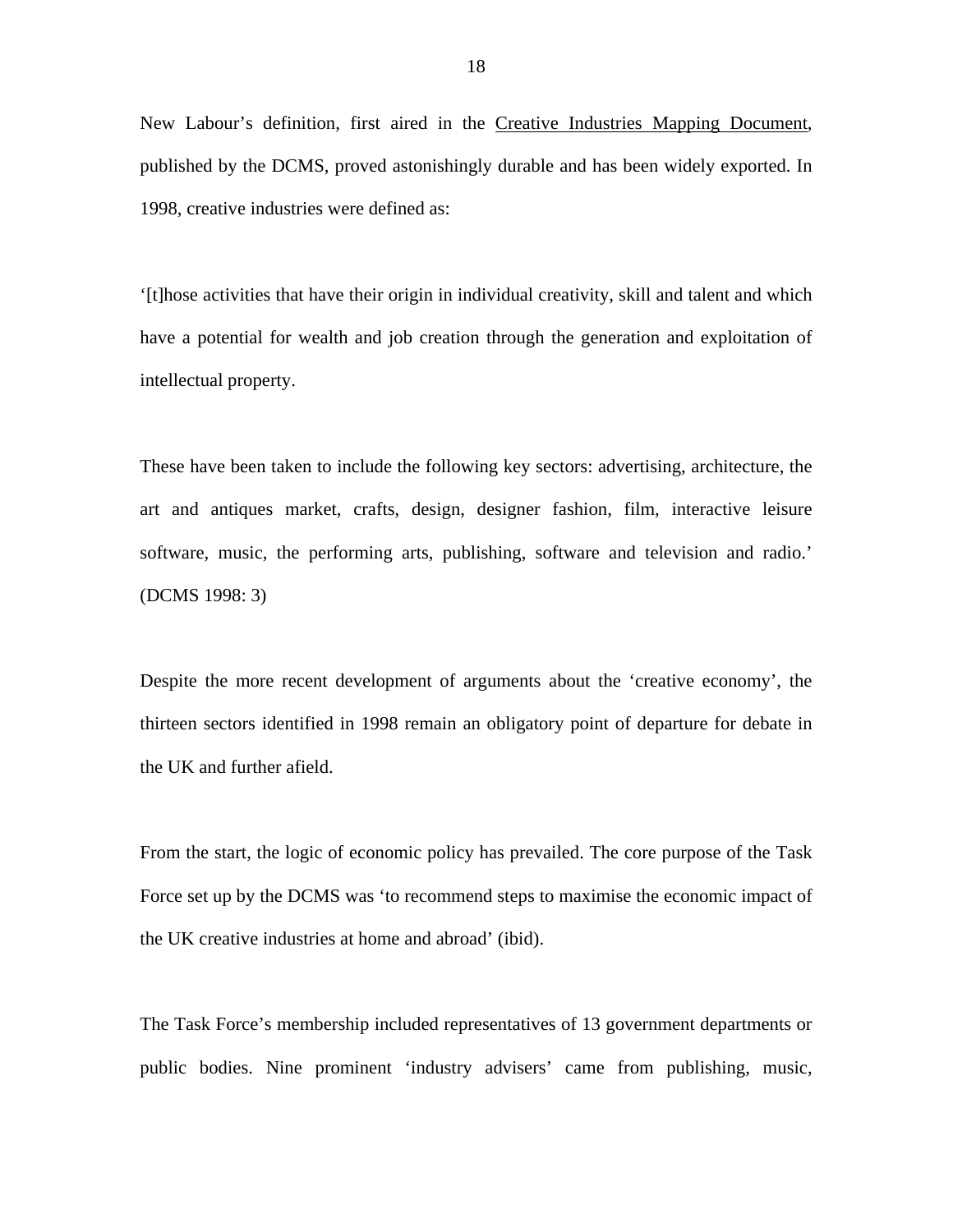New Labour's definition, first aired in the Creative Industries Mapping Document, published by the DCMS, proved astonishingly durable and has been widely exported. In 1998, creative industries were defined as:

'[t]hose activities that have their origin in individual creativity, skill and talent and which have a potential for wealth and job creation through the generation and exploitation of intellectual property.

These have been taken to include the following key sectors: advertising, architecture, the art and antiques market, crafts, design, designer fashion, film, interactive leisure software, music, the performing arts, publishing, software and television and radio.' (DCMS 1998: 3)

Despite the more recent development of arguments about the 'creative economy', the thirteen sectors identified in 1998 remain an obligatory point of departure for debate in the UK and further afield.

From the start, the logic of economic policy has prevailed. The core purpose of the Task Force set up by the DCMS was 'to recommend steps to maximise the economic impact of the UK creative industries at home and abroad' (ibid).

The Task Force's membership included representatives of 13 government departments or public bodies. Nine prominent 'industry advisers' came from publishing, music,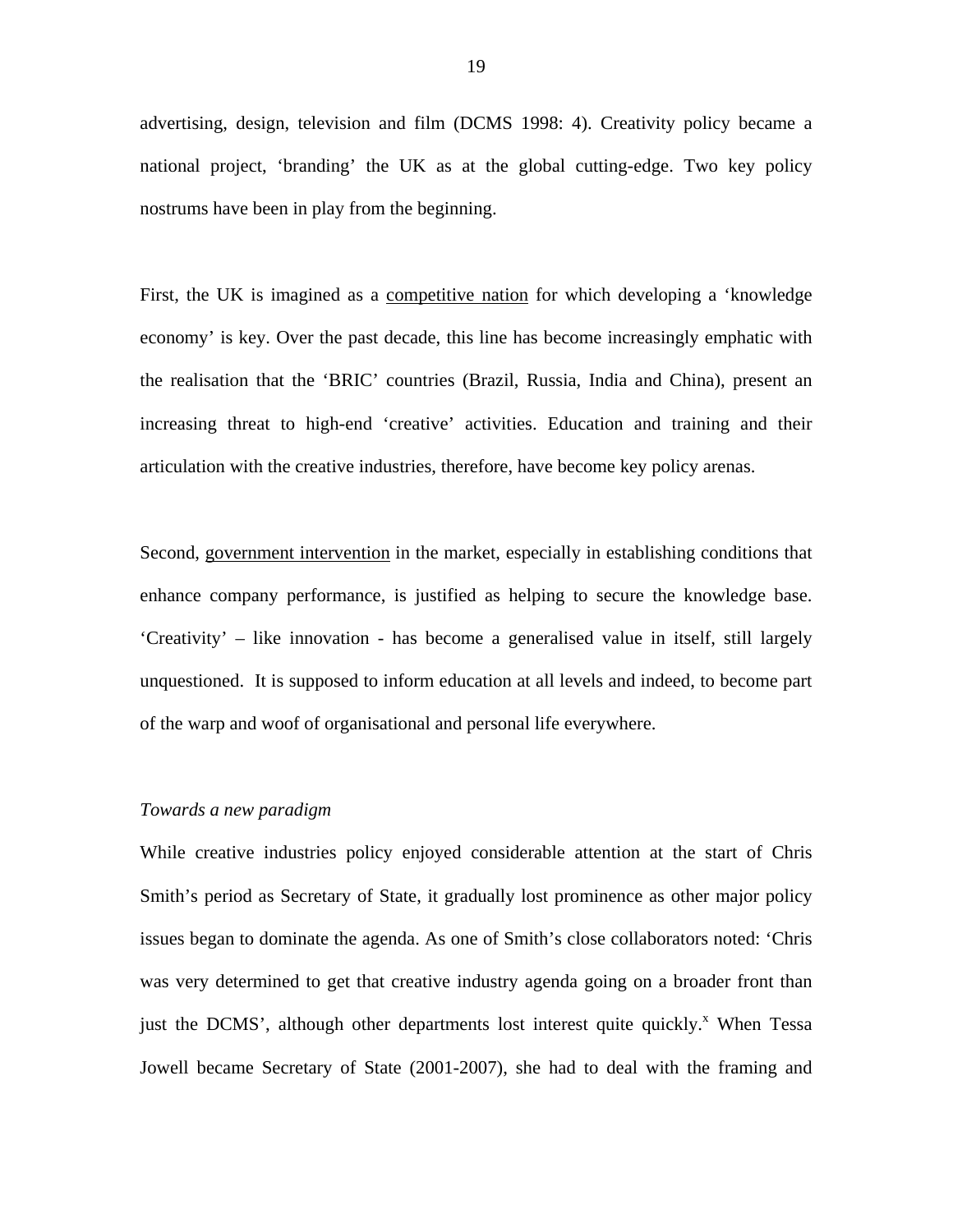advertising, design, television and film (DCMS 1998: 4). Creativity policy became a national project, 'branding' the UK as at the global cutting-edge. Two key policy nostrums have been in play from the beginning.

First, the UK is imagined as a competitive nation for which developing a 'knowledge economy' is key. Over the past decade, this line has become increasingly emphatic with the realisation that the 'BRIC' countries (Brazil, Russia, India and China), present an increasing threat to high-end 'creative' activities. Education and training and their articulation with the creative industries, therefore, have become key policy arenas.

Second, government intervention in the market, especially in establishing conditions that enhance company performance, is justified as helping to secure the knowledge base. 'Creativity' – like innovation - has become a generalised value in itself, still largely unquestioned. It is supposed to inform education at all levels and indeed, to become part of the warp and woof of organisational and personal life everywhere.

# *Towards a new paradigm*

While creative industries policy enjoyed considerable attention at the start of Chris Smith's period as Secretary of State, it gradually lost prominence as other major policy issues began to dominate the agenda. As one of Smith's close collaborators noted: 'Chris was very determined to get that creative industry agenda going on a broader front than just the DCMS', although other departments lost interest quite quickly.<sup>x</sup> When Tessa Jowell became Secretary of State (2001-2007), she had to deal with the framing and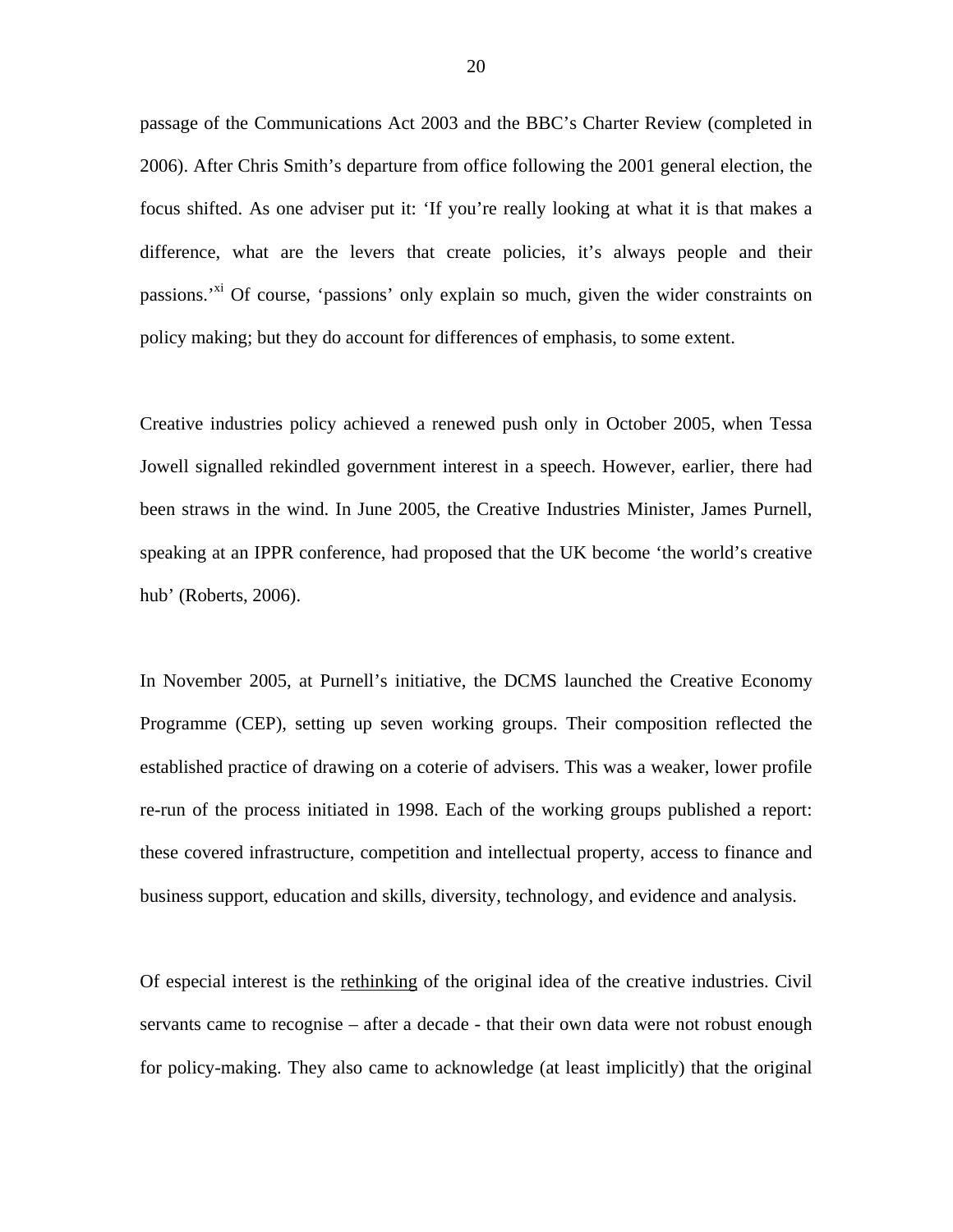passage of the Communications Act 2003 and the BBC's Charter Review (completed in 2006). After Chris Smith's departure from office following the 2001 general election, the focus shifted. As one adviser put it: 'If you're really looking at what it is that makes a difference, what are the levers that create policies, it's always people and their passions.<sup>'xi</sup> Of course, 'passions' only explain so much, given the wider constraints on policy making; but they do account for differences of emphasis, to some extent.

Creative industries policy achieved a renewed push only in October 2005, when Tessa Jowell signalled rekindled government interest in a speech. However, earlier, there had been straws in the wind. In June 2005, the Creative Industries Minister, James Purnell, speaking at an IPPR conference, had proposed that the UK become 'the world's creative hub' (Roberts, 2006).

In November 2005, at Purnell's initiative, the DCMS launched the Creative Economy Programme (CEP), setting up seven working groups. Their composition reflected the established practice of drawing on a coterie of advisers. This was a weaker, lower profile re-run of the process initiated in 1998. Each of the working groups published a report: these covered infrastructure, competition and intellectual property, access to finance and business support, education and skills, diversity, technology, and evidence and analysis.

Of especial interest is the rethinking of the original idea of the creative industries. Civil servants came to recognise – after a decade - that their own data were not robust enough for policy-making. They also came to acknowledge (at least implicitly) that the original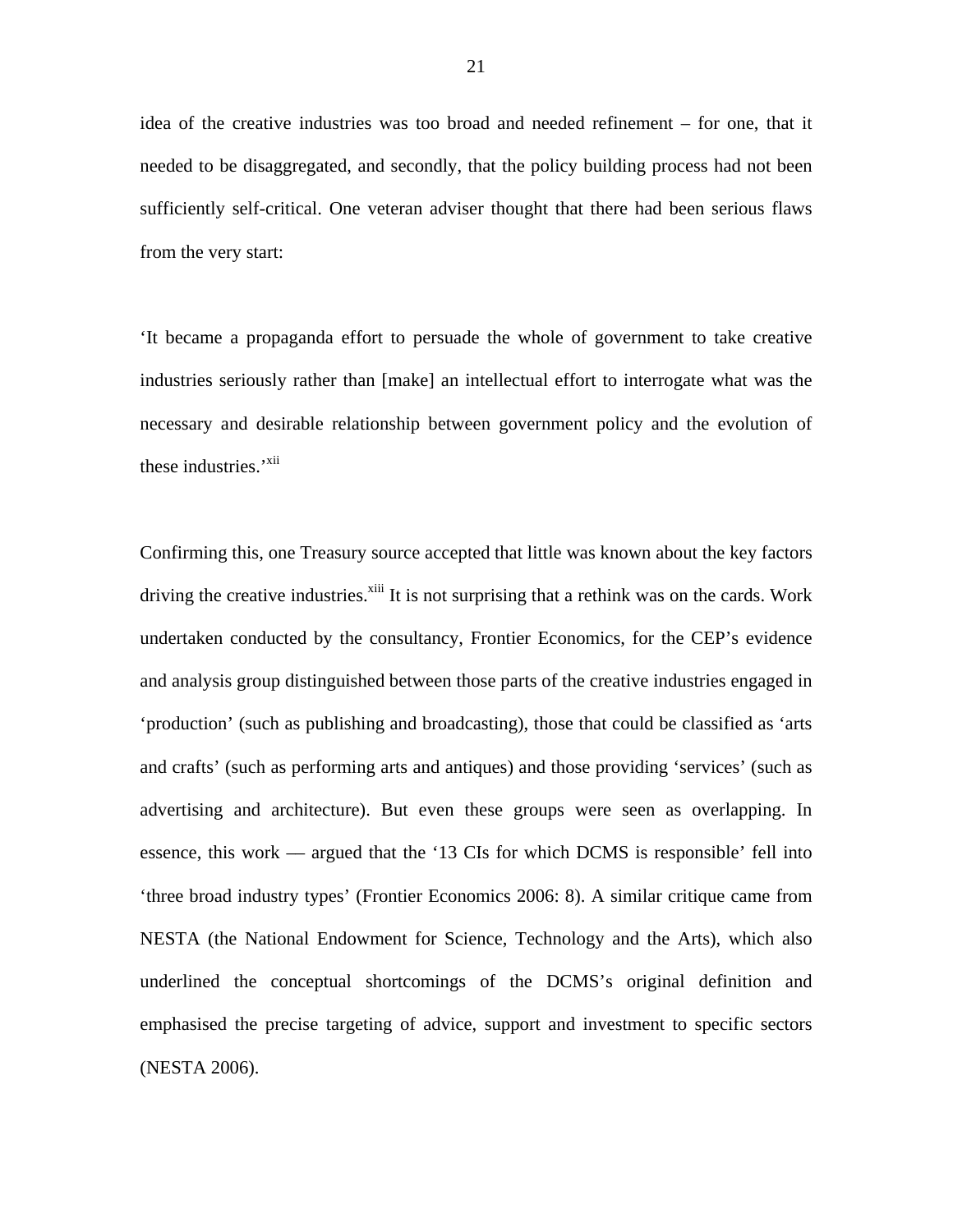idea of the creative industries was too broad and needed refinement – for one, that it needed to be disaggregated, and secondly, that the policy building process had not been sufficiently self-critical. One veteran adviser thought that there had been serious flaws from the very start:

'It became a propaganda effort to persuade the whole of government to take creative industries seriously rather than [make] an intellectual effort to interrogate what was the necessary and desirable relationship between government policy and the evolution of these industries.'<sup>xii</sup>

Confirming this, one Treasury source accepted that little was known about the key factors driving the creative industries.<sup>xiii</sup> It is not surprising that a rethink was on the cards. Work undertaken conducted by the consultancy, Frontier Economics, for the CEP's evidence and analysis group distinguished between those parts of the creative industries engaged in 'production' (such as publishing and broadcasting), those that could be classified as 'arts and crafts' (such as performing arts and antiques) and those providing 'services' (such as advertising and architecture). But even these groups were seen as overlapping. In essence, this work –– argued that the '13 CIs for which DCMS is responsible' fell into 'three broad industry types' (Frontier Economics 2006: 8). A similar critique came from NESTA (the National Endowment for Science, Technology and the Arts), which also underlined the conceptual shortcomings of the DCMS's original definition and emphasised the precise targeting of advice, support and investment to specific sectors (NESTA 2006).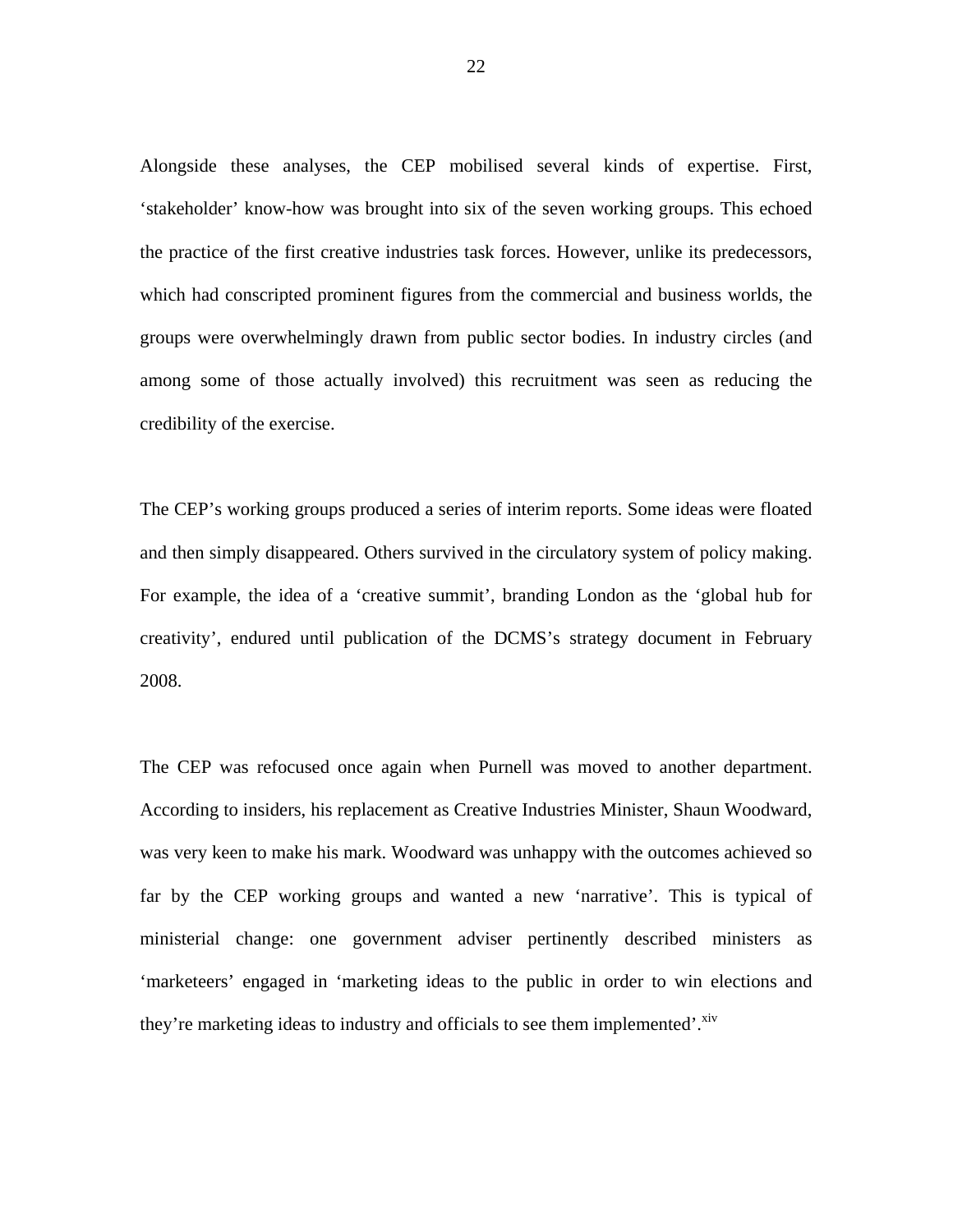Alongside these analyses, the CEP mobilised several kinds of expertise. First, 'stakeholder' know-how was brought into six of the seven working groups. This echoed the practice of the first creative industries task forces. However, unlike its predecessors, which had conscripted prominent figures from the commercial and business worlds, the groups were overwhelmingly drawn from public sector bodies. In industry circles (and among some of those actually involved) this recruitment was seen as reducing the credibility of the exercise.

The CEP's working groups produced a series of interim reports. Some ideas were floated and then simply disappeared. Others survived in the circulatory system of policy making. For example, the idea of a 'creative summit', branding London as the 'global hub for creativity', endured until publication of the DCMS's strategy document in February 2008.

The CEP was refocused once again when Purnell was moved to another department. According to insiders, his replacement as Creative Industries Minister, Shaun Woodward, was very keen to make his mark. Woodward was unhappy with the outcomes achieved so far by the CEP working groups and wanted a new 'narrative'. This is typical of ministerial change: one government adviser pertinently described ministers as 'marketeers' engaged in 'marketing ideas to the public in order to win elections and they're marketing ideas to industry and officials to see them implemented'.<sup>xiv</sup>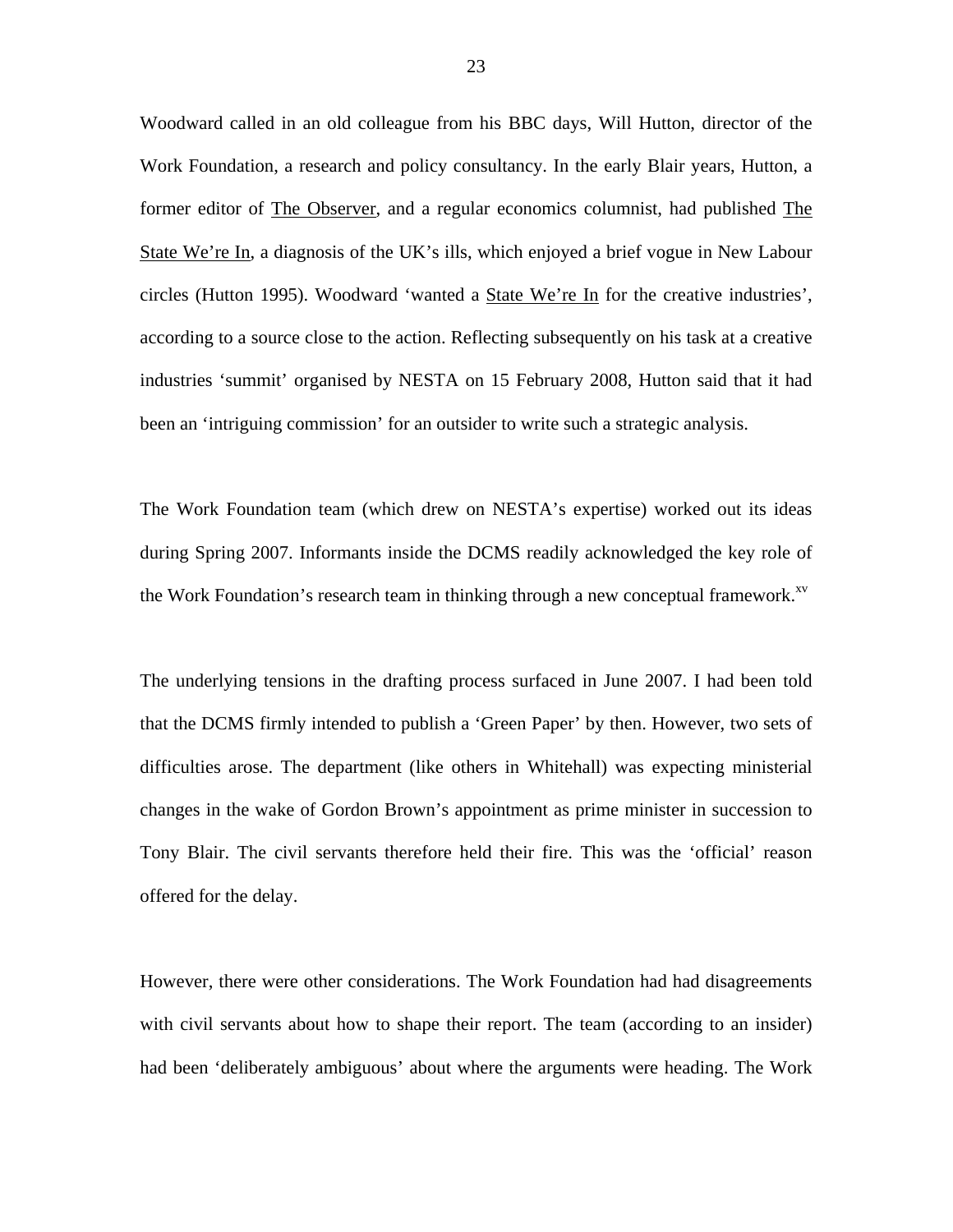Woodward called in an old colleague from his BBC days, Will Hutton, director of the Work Foundation, a research and policy consultancy. In the early Blair years, Hutton, a former editor of The Observer, and a regular economics columnist, had published The State We're In, a diagnosis of the UK's ills, which enjoyed a brief vogue in New Labour circles (Hutton 1995). Woodward 'wanted a State We're In for the creative industries', according to a source close to the action. Reflecting subsequently on his task at a creative industries 'summit' organised by NESTA on 15 February 2008, Hutton said that it had been an 'intriguing commission' for an outsider to write such a strategic analysis.

The Work Foundation team (which drew on NESTA's expertise) worked out its ideas during Spring 2007. Informants inside the DCMS readily acknowledged the key role of the Work Foundation's research team in thinking through a new conceptual framework. $x<sup>v</sup>$ 

The underlying tensions in the drafting process surfaced in June 2007. I had been told that the DCMS firmly intended to publish a 'Green Paper' by then. However, two sets of difficulties arose. The department (like others in Whitehall) was expecting ministerial changes in the wake of Gordon Brown's appointment as prime minister in succession to Tony Blair. The civil servants therefore held their fire. This was the 'official' reason offered for the delay.

However, there were other considerations. The Work Foundation had had disagreements with civil servants about how to shape their report. The team (according to an insider) had been 'deliberately ambiguous' about where the arguments were heading. The Work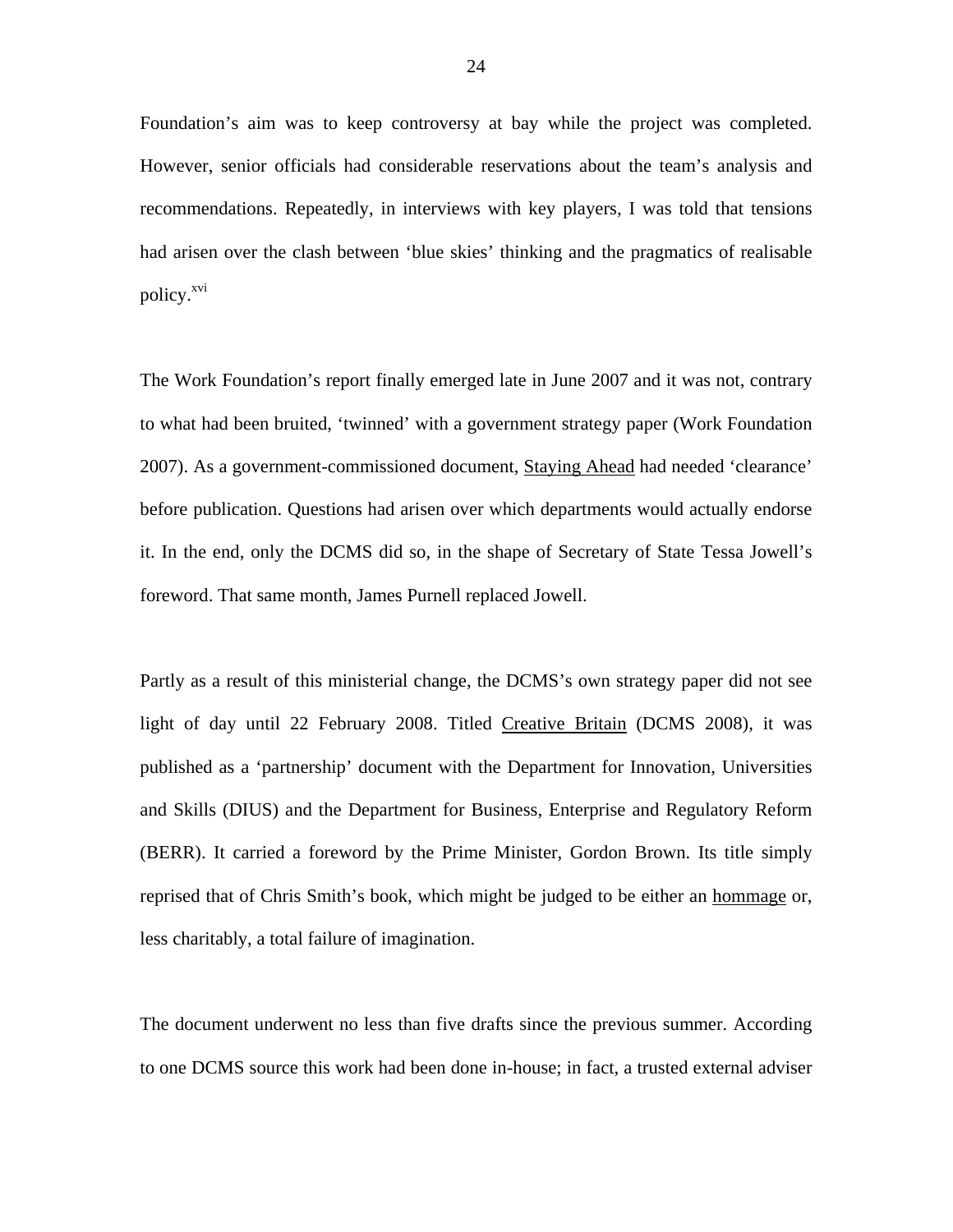Foundation's aim was to keep controversy at bay while the project was completed. However, senior officials had considerable reservations about the team's analysis and recommendations. Repeatedly, in interviews with key players, I was told that tensions had arisen over the clash between 'blue skies' thinking and the pragmatics of realisable policy.<sup>xvi</sup>

The Work Foundation's report finally emerged late in June 2007 and it was not, contrary to what had been bruited, 'twinned' with a government strategy paper (Work Foundation 2007). As a government-commissioned document, Staying Ahead had needed 'clearance' before publication. Questions had arisen over which departments would actually endorse it. In the end, only the DCMS did so, in the shape of Secretary of State Tessa Jowell's foreword. That same month, James Purnell replaced Jowell.

Partly as a result of this ministerial change, the DCMS's own strategy paper did not see light of day until 22 February 2008. Titled Creative Britain (DCMS 2008), it was published as a 'partnership' document with the Department for Innovation, Universities and Skills (DIUS) and the Department for Business, Enterprise and Regulatory Reform (BERR). It carried a foreword by the Prime Minister, Gordon Brown. Its title simply reprised that of Chris Smith's book, which might be judged to be either an hommage or, less charitably, a total failure of imagination.

The document underwent no less than five drafts since the previous summer. According to one DCMS source this work had been done in-house; in fact, a trusted external adviser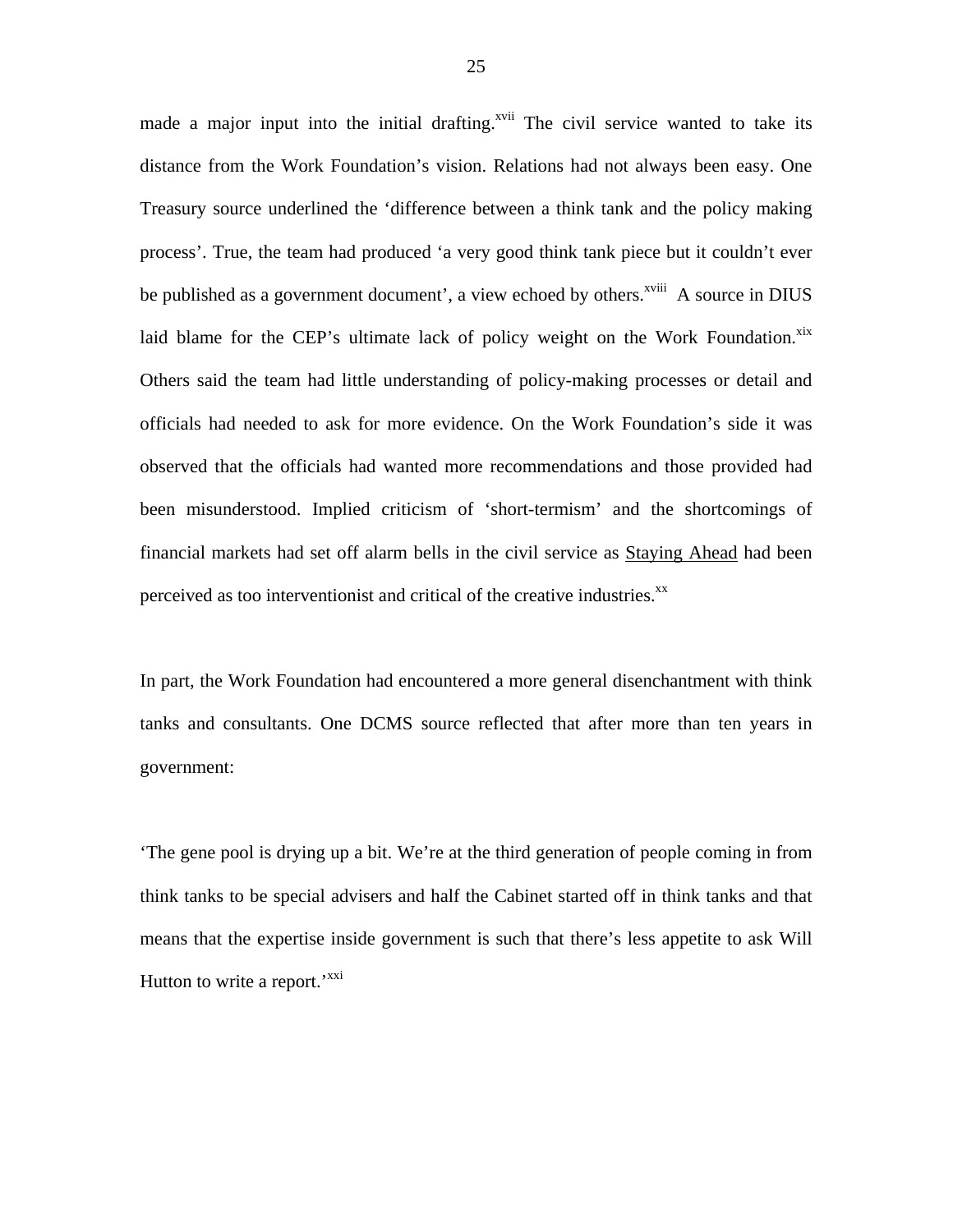made a major input into the initial drafting.<sup>xvii</sup> The civil service wanted to take its distance from the Work Foundation's vision. Relations had not always been easy. One Treasury source underlined the 'difference between a think tank and the policy making process'. True, the team had produced 'a very good think tank piece but it couldn't ever be published as a government document', a view echoed by others.<sup> $xviii$ </sup> A source in DIUS laid blame for the CEP's ultimate lack of policy weight on the Work Foundation. ${}^{xix}$  ${}^{xix}$  ${}^{xix}$ Others said the team had little understanding of policy-making processes or detail and officials had needed to ask for more evidence. On the Work Foundation's side it was observed that the officials had wanted more recommendations and those provided had been misunderstood. Implied criticism of 'short-termism' and the shortcomings of financial markets had set off alarm bells in the civil service as Staying Ahead had been perceived as too interventionist and critical of the creative industries.<sup>xx</sup>

In part, the Work Foundation had encountered a more general disenchantment with think tanks and consultants. One DCMS source reflected that after more than ten years in government:

'The gene pool is drying up a bit. We're at the third generation of people coming in from think tanks to be special advisers and half the Cabinet started off in think tanks and that means that the expertise inside government is such that there's less appetite to ask Will Hutton to write a report.<sup>'[xxi](#page-35-13)</sup>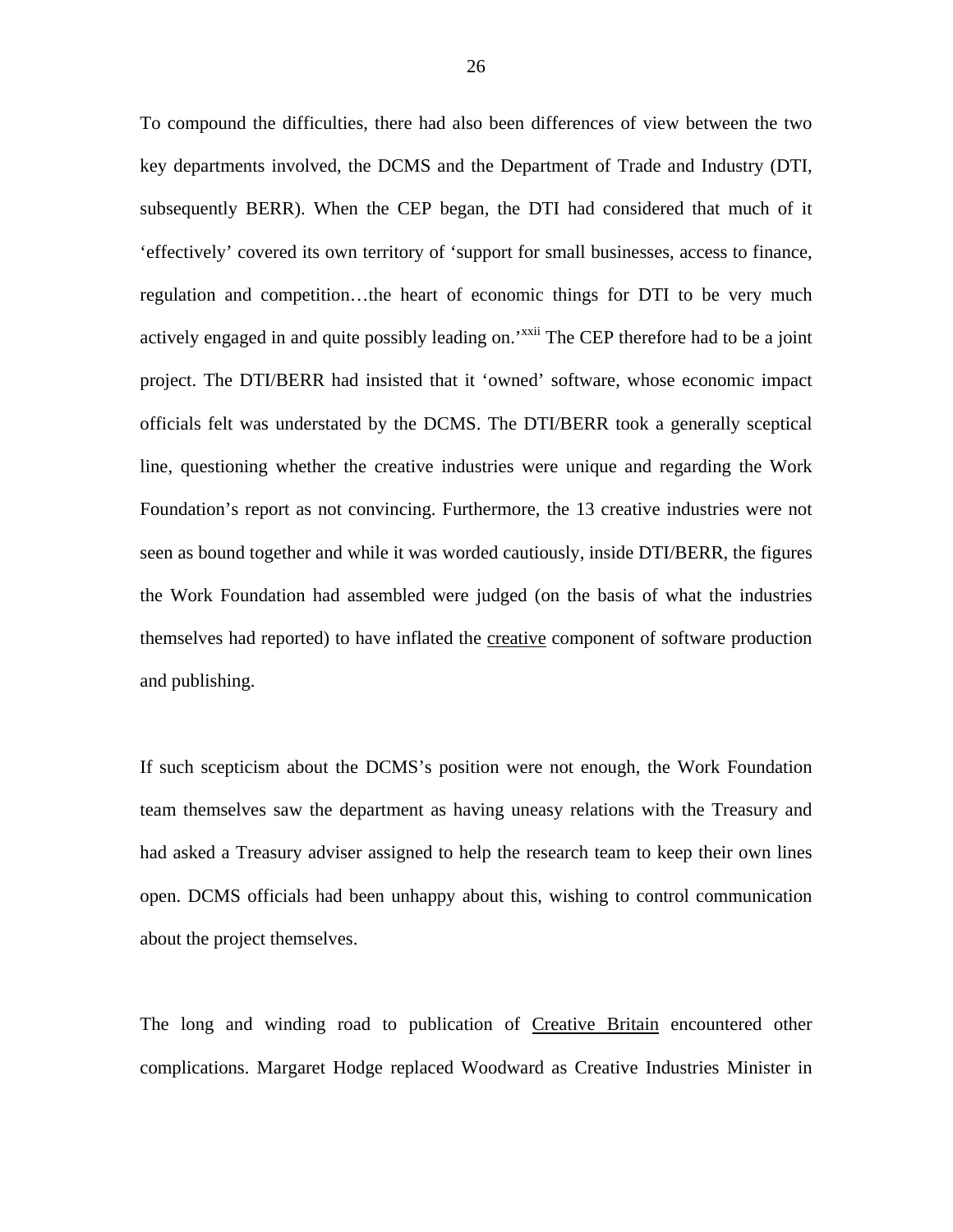To compound the difficulties, there had also been differences of view between the two key departments involved, the DCMS and the Department of Trade and Industry (DTI, subsequently BERR). When the CEP began, the DTI had considered that much of it 'effectively' covered its own territory of 'support for small businesses, access to finance, regulation and competition…the heart of economic things for DTI to be very much actively engaged in and quite possibly leading on.<sup>'[xxii](#page-35-12)</sup> The CEP therefore had to be a joint project. The DTI/BERR had insisted that it 'owned' software, whose economic impact officials felt was understated by the DCMS. The DTI/BERR took a generally sceptical line, questioning whether the creative industries were unique and regarding the Work Foundation's report as not convincing. Furthermore, the 13 creative industries were not seen as bound together and while it was worded cautiously, inside DTI/BERR, the figures the Work Foundation had assembled were judged (on the basis of what the industries themselves had reported) to have inflated the creative component of software production and publishing.

If such scepticism about the DCMS's position were not enough, the Work Foundation team themselves saw the department as having uneasy relations with the Treasury and had asked a Treasury adviser assigned to help the research team to keep their own lines open. DCMS officials had been unhappy about this, wishing to control communication about the project themselves.

The long and winding road to publication of Creative Britain encountered other complications. Margaret Hodge replaced Woodward as Creative Industries Minister in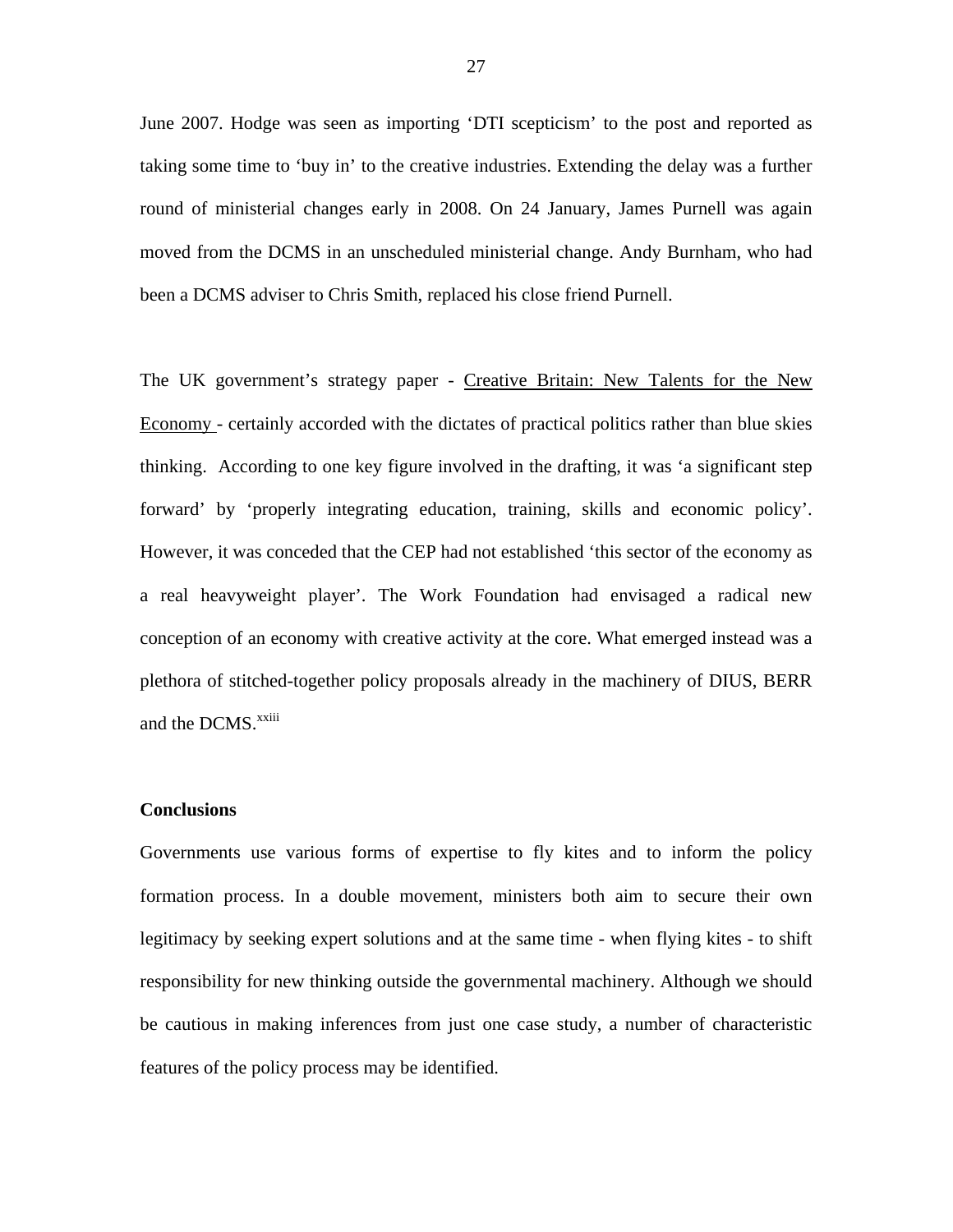June 2007. Hodge was seen as importing 'DTI scepticism' to the post and reported as taking some time to 'buy in' to the creative industries. Extending the delay was a further round of ministerial changes early in 2008. On 24 January, James Purnell was again moved from the DCMS in an unscheduled ministerial change. Andy Burnham, who had been a DCMS adviser to Chris Smith, replaced his close friend Purnell.

The UK government's strategy paper - Creative Britain: New Talents for the New Economy *-* certainly accorded with the dictates of practical politics rather than blue skies thinking. According to one key figure involved in the drafting, it was 'a significant step forward' by 'properly integrating education, training, skills and economic policy'. However, it was conceded that the CEP had not established 'this sector of the economy as a real heavyweight player'. The Work Foundation had envisaged a radical new conception of an economy with creative activity at the core. What emerged instead was a plethora of stitched-together policy proposals already in the machinery of DIUS, BERR and the DCMS.<sup>xxiii</sup>

## **Conclusions**

Governments use various forms of expertise to fly kites and to inform the policy formation process. In a double movement, ministers both aim to secure their own legitimacy by seeking expert solutions and at the same time - when flying kites - to shift responsibility for new thinking outside the governmental machinery. Although we should be cautious in making inferences from just one case study, a number of characteristic features of the policy process may be identified.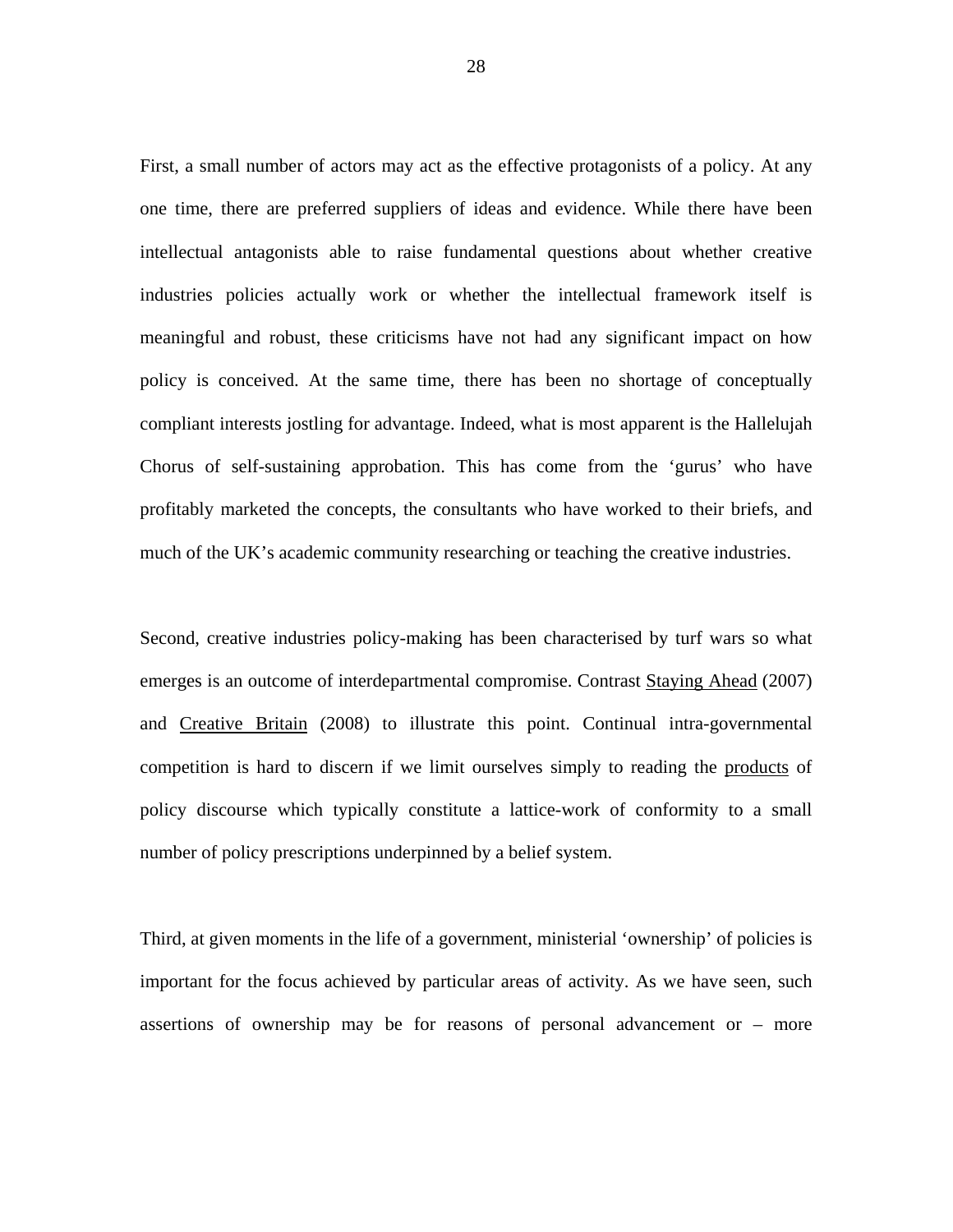First, a small number of actors may act as the effective protagonists of a policy. At any one time, there are preferred suppliers of ideas and evidence. While there have been intellectual antagonists able to raise fundamental questions about whether creative industries policies actually work or whether the intellectual framework itself is meaningful and robust, these criticisms have not had any significant impact on how policy is conceived. At the same time, there has been no shortage of conceptually compliant interests jostling for advantage. Indeed, what is most apparent is the Hallelujah Chorus of self-sustaining approbation. This has come from the 'gurus' who have profitably marketed the concepts, the consultants who have worked to their briefs, and much of the UK's academic community researching or teaching the creative industries.

Second, creative industries policy-making has been characterised by turf wars so what emerges is an outcome of interdepartmental compromise. Contrast Staying Ahead (2007) and Creative Britain (2008) to illustrate this point. Continual intra-governmental competition is hard to discern if we limit ourselves simply to reading the products of policy discourse which typically constitute a lattice-work of conformity to a small number of policy prescriptions underpinned by a belief system.

Third, at given moments in the life of a government, ministerial 'ownership' of policies is important for the focus achieved by particular areas of activity. As we have seen, such assertions of ownership may be for reasons of personal advancement or – more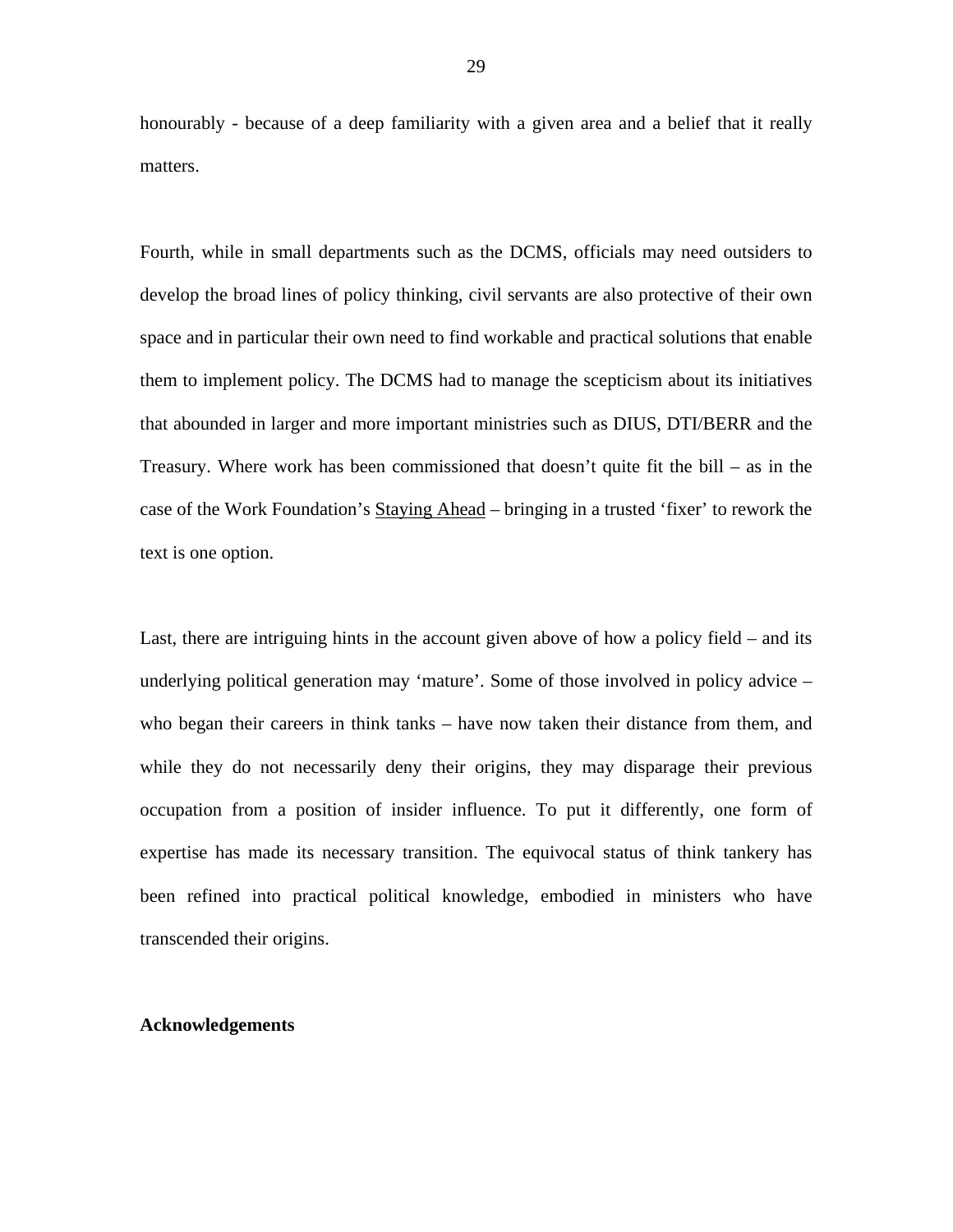honourably - because of a deep familiarity with a given area and a belief that it really matters.

Fourth, while in small departments such as the DCMS, officials may need outsiders to develop the broad lines of policy thinking, civil servants are also protective of their own space and in particular their own need to find workable and practical solutions that enable them to implement policy. The DCMS had to manage the scepticism about its initiatives that abounded in larger and more important ministries such as DIUS, DTI/BERR and the Treasury. Where work has been commissioned that doesn't quite fit the bill – as in the case of the Work Foundation's Staying Ahead – bringing in a trusted 'fixer' to rework the text is one option.

Last, there are intriguing hints in the account given above of how a policy field – and its underlying political generation may 'mature'. Some of those involved in policy advice – who began their careers in think tanks – have now taken their distance from them, and while they do not necessarily deny their origins, they may disparage their previous occupation from a position of insider influence. To put it differently, one form of expertise has made its necessary transition. The equivocal status of think tankery has been refined into practical political knowledge, embodied in ministers who have transcended their origins.

# **Acknowledgements**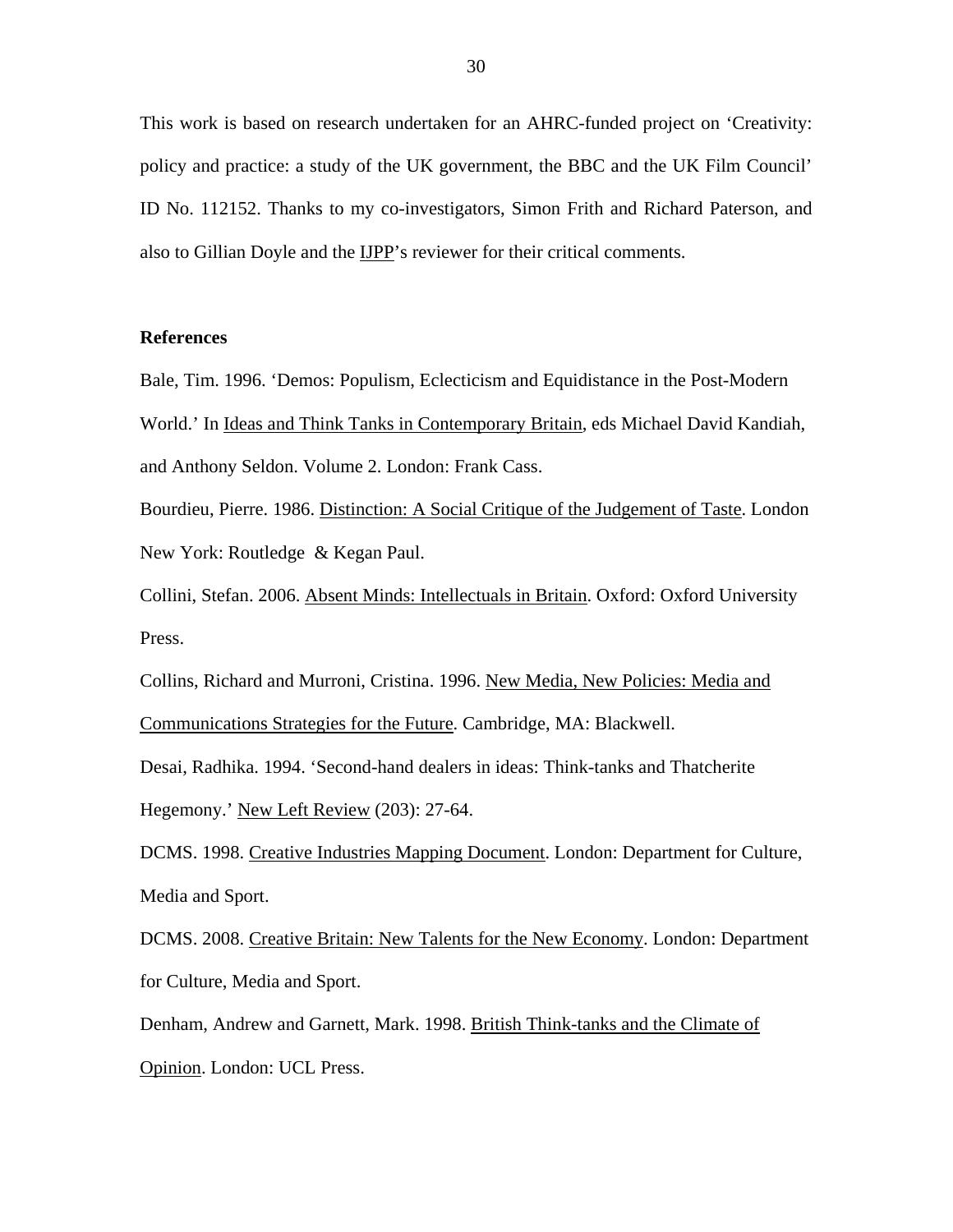This work is based on research undertaken for an AHRC-funded project on 'Creativity: policy and practice: a study of the UK government, the BBC and the UK Film Council' ID No. 112152. Thanks to my co-investigators, Simon Frith and Richard Paterson, and also to Gillian Doyle and the IJPP's reviewer for their critical comments.

# **References**

Bale, Tim. 1996. 'Demos: Populism, Eclecticism and Equidistance in the Post-Modern World.' In Ideas and Think Tanks in Contemporary Britain, eds Michael David Kandiah, and Anthony Seldon. Volume 2. London: Frank Cass.

Bourdieu, Pierre. 1986. Distinction: A Social Critique of the Judgement of Taste. London New York: Routledge & Kegan Paul.

Collini, Stefan. 2006. Absent Minds: Intellectuals in Britain. Oxford: Oxford University Press.

Collins, Richard and Murroni, Cristina. 1996. New Media, New Policies: Media and Communications Strategies for the Future. Cambridge, MA: Blackwell.

Desai, Radhika. 1994. 'Second-hand dealers in ideas: Think-tanks and Thatcherite Hegemony.' New Left Review (203): 27-64.

DCMS. 1998. Creative Industries Mapping Document. London: Department for Culture, Media and Sport.

DCMS. 2008. Creative Britain: New Talents for the New Economy. London: Department for Culture, Media and Sport.

Denham, Andrew and Garnett, Mark. 1998. British Think-tanks and the Climate of Opinion. London: UCL Press.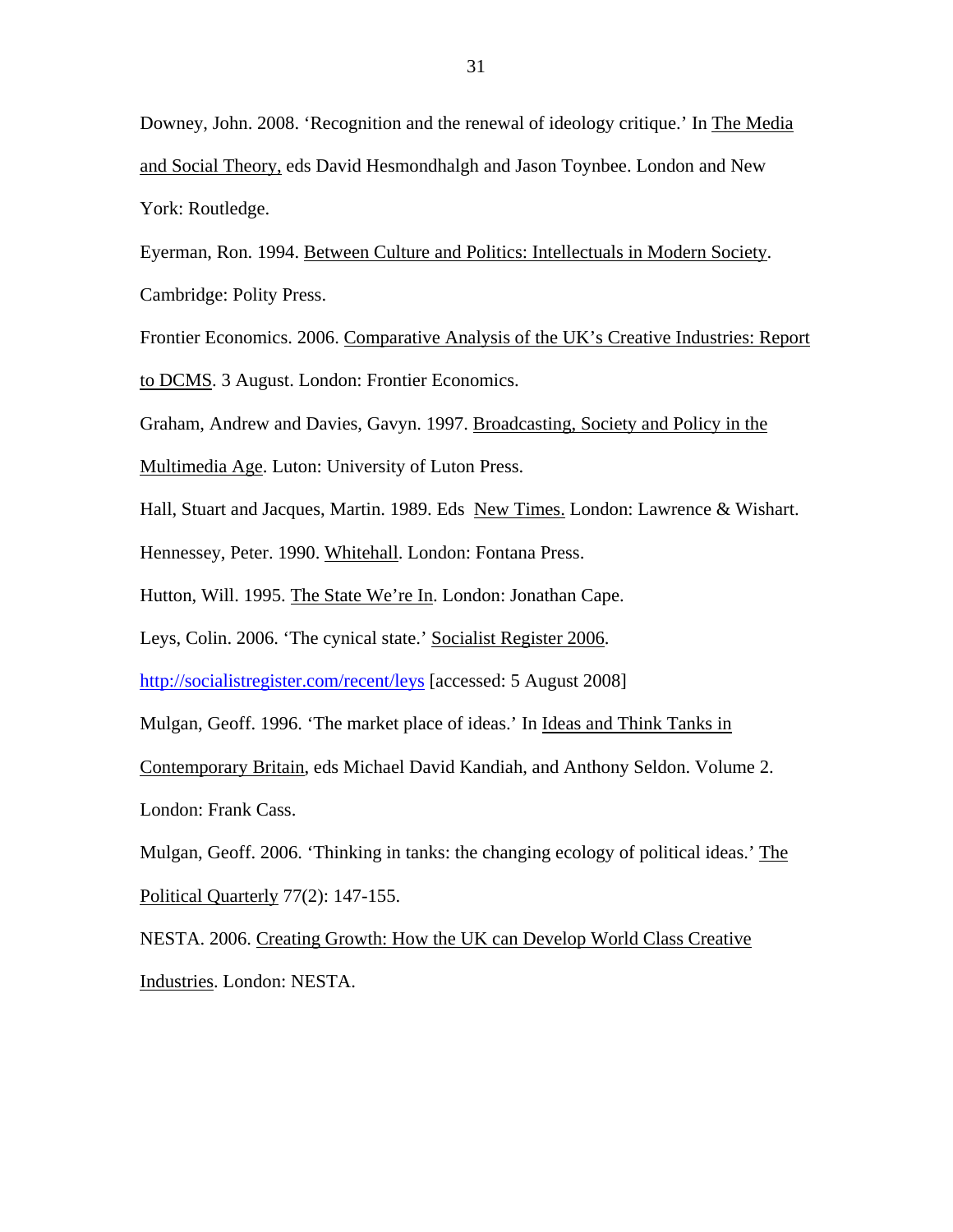Downey, John. 2008. 'Recognition and the renewal of ideology critique.' In The Media and Social Theory, eds David Hesmondhalgh and Jason Toynbee. London and New York: Routledge.

Eyerman, Ron. 1994. Between Culture and Politics: Intellectuals in Modern Society. Cambridge: Polity Press.

Frontier Economics. 2006. Comparative Analysis of the UK's Creative Industries: Report to DCMS. 3 August. London: Frontier Economics.

Graham, Andrew and Davies, Gavyn. 1997. Broadcasting, Society and Policy in the

Multimedia Age. Luton: University of Luton Press.

Hall, Stuart and Jacques, Martin. 1989. Eds New Times. London: Lawrence & Wishart.

Hennessey, Peter. 1990. Whitehall. London: Fontana Press.

Hutton, Will. 1995. The State We're In. London: Jonathan Cape.

Leys, Colin. 2006. 'The cynical state.' Socialist Register 2006.

<http://socialistregister.com/recent/leys>[accessed: 5 August 2008]

Mulgan, Geoff. 1996. 'The market place of ideas.' In Ideas and Think Tanks in

Contemporary Britain, eds Michael David Kandiah, and Anthony Seldon. Volume 2.

London: Frank Cass.

Mulgan, Geoff. 2006. 'Thinking in tanks: the changing ecology of political ideas.' The Political Quarterly 77(2): 147-155.

NESTA. 2006. Creating Growth: How the UK can Develop World Class Creative Industries. London: NESTA.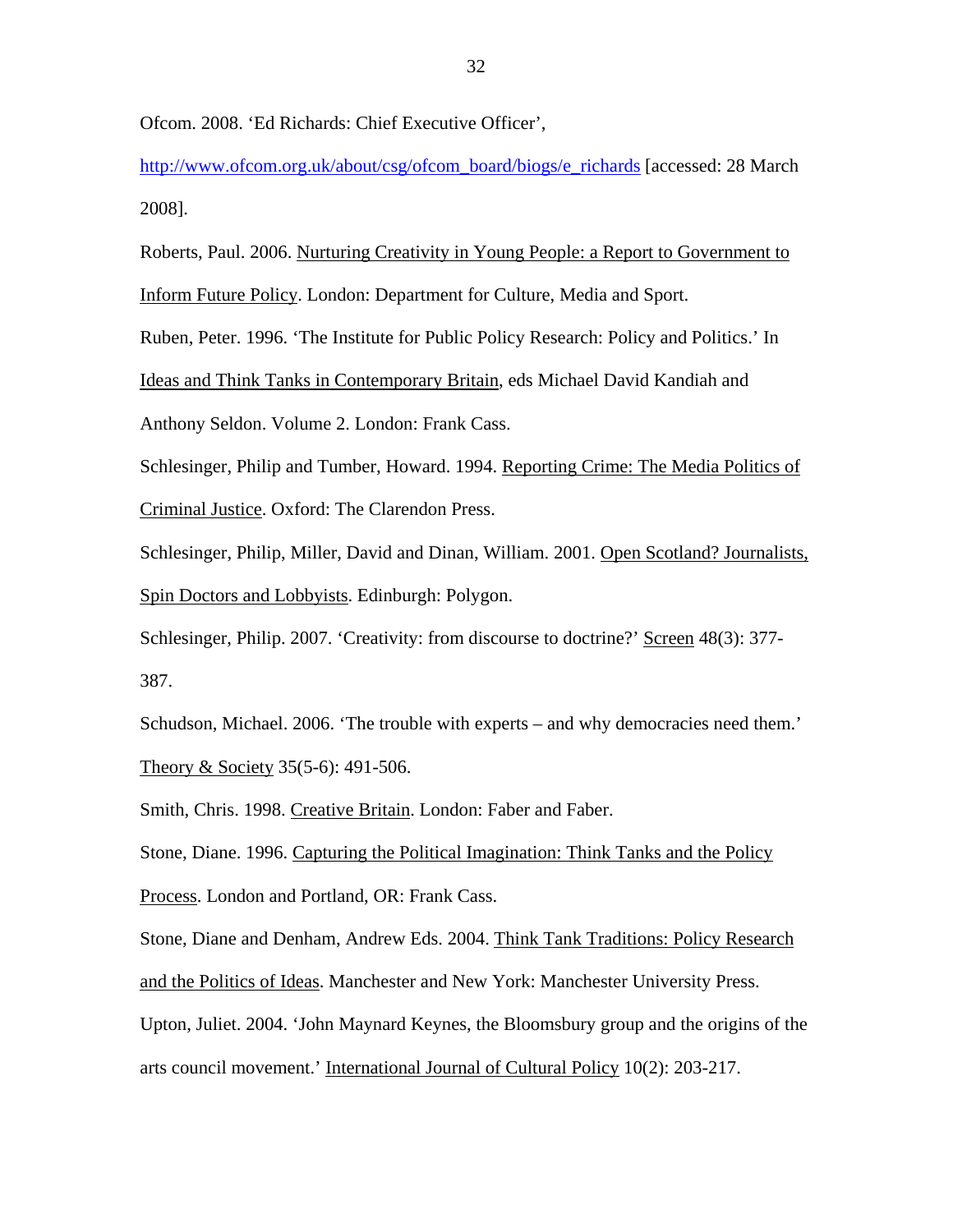Ofcom. 2008. 'Ed Richards: Chief Executive Officer',

[http://www.ofcom.org.uk/about/csg/ofcom\\_board/biogs/e\\_richards](http://www.ofcom.org.uk/about/csg/ofcom_board/biogs/e_richards) [accessed: 28 March 2008].

Roberts, Paul. 2006. Nurturing Creativity in Young People: a Report to Government to Inform Future Policy. London: Department for Culture, Media and Sport. Ruben, Peter. 1996. 'The Institute for Public Policy Research: Policy and Politics.' In Ideas and Think Tanks in Contemporary Britain, eds Michael David Kandiah and Anthony Seldon. Volume 2. London: Frank Cass. Schlesinger, Philip and Tumber, Howard. 1994. Reporting Crime: The Media Politics of Criminal Justice. Oxford: The Clarendon Press. Schlesinger, Philip, Miller, David and Dinan, William. 2001. Open Scotland? Journalists, Spin Doctors and Lobbyists. Edinburgh: Polygon.

Schlesinger, Philip. 2007. 'Creativity: from discourse to doctrine?' Screen 48(3): 377- 387.

Schudson, Michael. 2006. 'The trouble with experts – and why democracies need them.' Theory & Society 35(5-6): 491-506.

Smith, Chris. 1998. Creative Britain. London: Faber and Faber.

Stone, Diane. 1996. Capturing the Political Imagination: Think Tanks and the Policy Process. London and Portland, OR: Frank Cass.

Stone, Diane and Denham, Andrew Eds. 2004. Think Tank Traditions: Policy Research and the Politics of Ideas. Manchester and New York: Manchester University Press. Upton, Juliet. 2004. 'John Maynard Keynes, the Bloomsbury group and the origins of the arts council movement.' International Journal of Cultural Policy 10(2): 203-217.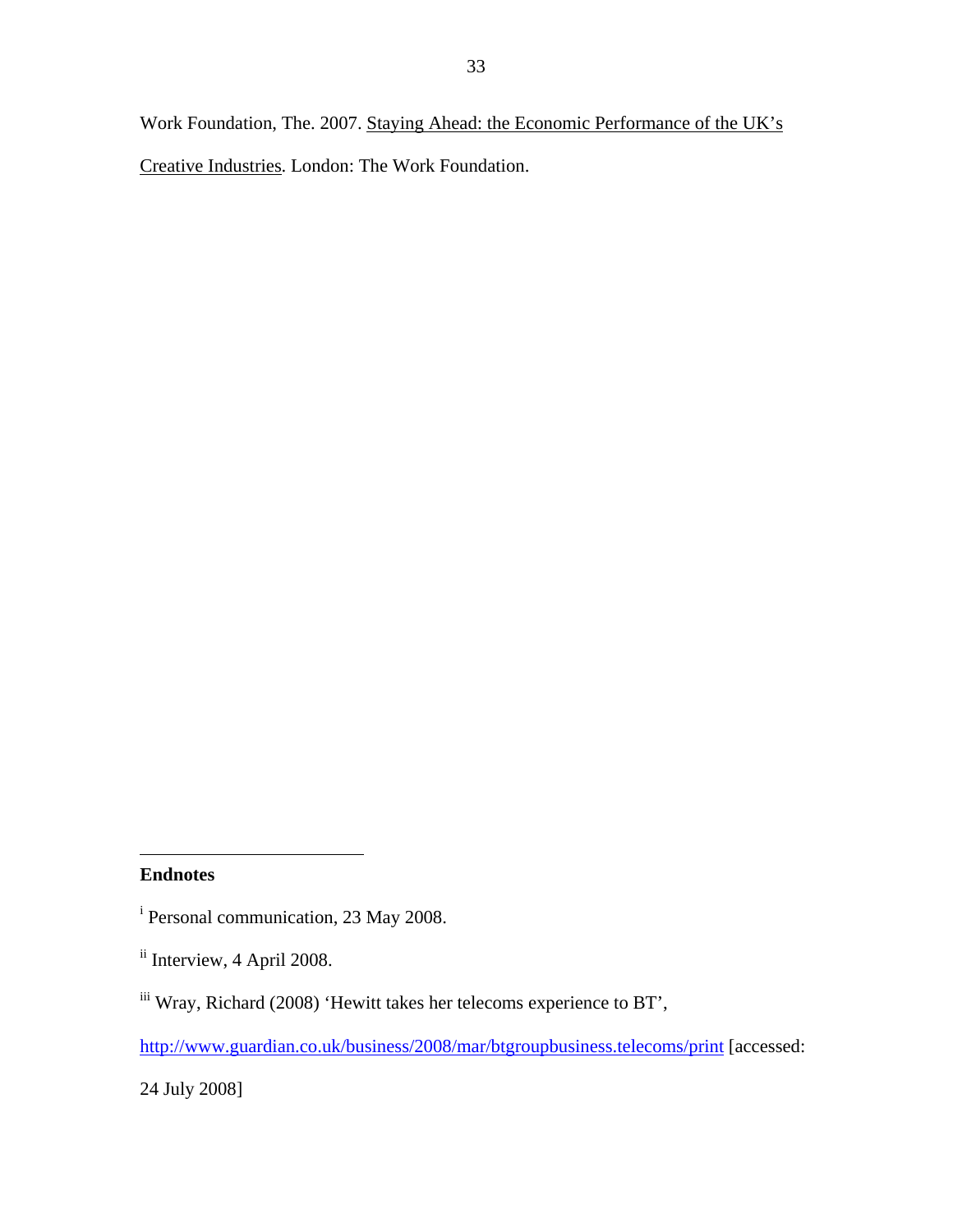Work Foundation, The. 2007. Staying Ahead: the Economic Performance of the UK's Creative Industries. London: The Work Foundation.

1

24 July 2008]

**Endnotes** 

<sup>&</sup>lt;sup>i</sup> Personal communication, 23 May 2008.

<sup>&</sup>lt;sup>ii</sup> Interview, 4 April 2008.

iii Wray, Richard (2008) 'Hewitt takes her telecoms experience to BT',

<http://www.guardian.co.uk/business/2008/mar/btgroupbusiness.telecoms/print> [accessed: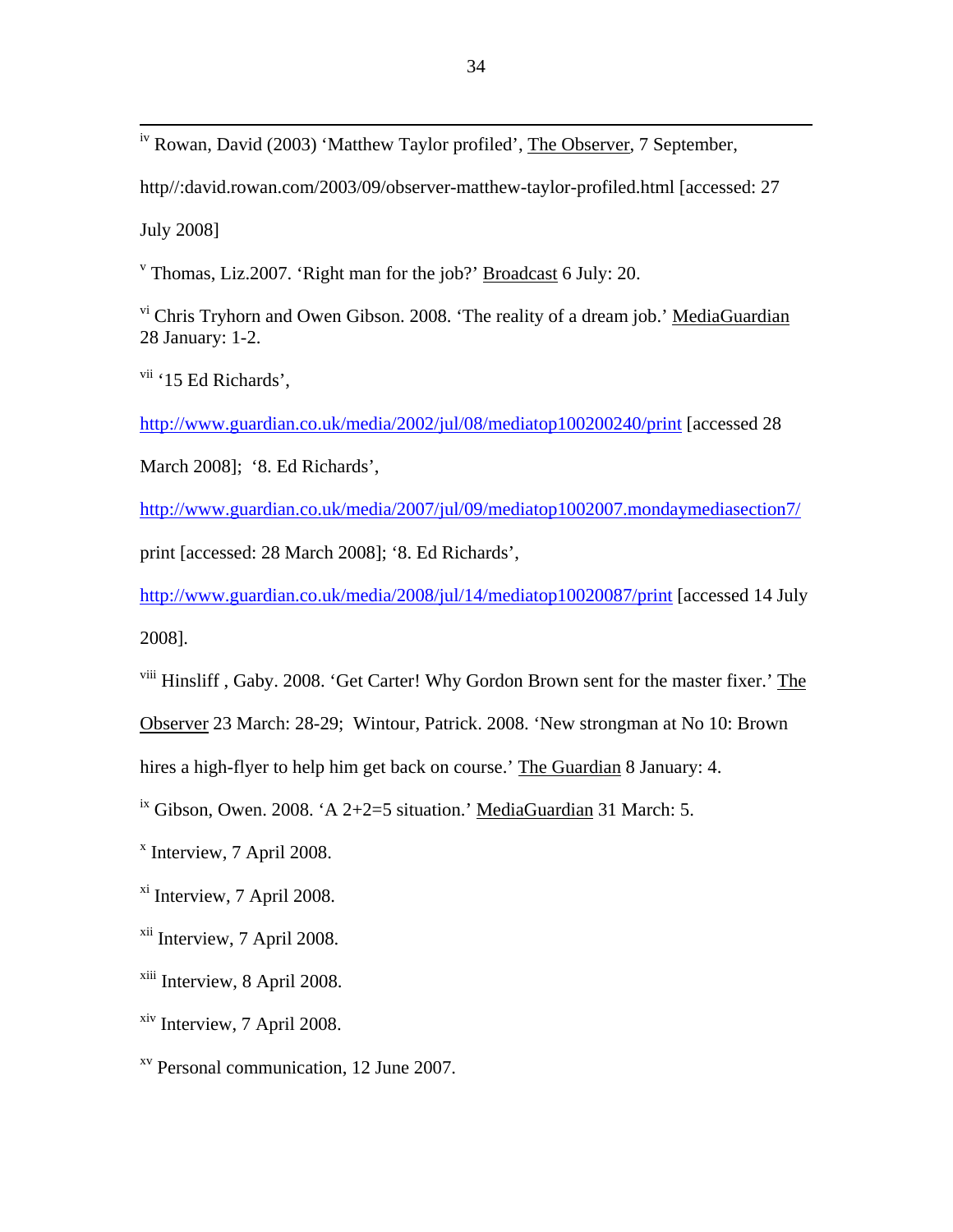iv Rowan, David (2003) 'Matthew Taylor profiled', The Observer, 7 September,

http//:david.rowan.com/2003/09/observer-matthew-taylor-profiled.html [accessed: 27

July 2008]

<sup>v</sup> Thomas, Liz.2007. 'Right man for the job?' **Broadcast** 6 July: 20.

vi Chris Tryhorn and Owen Gibson. 2008. 'The reality of a dream job.' MediaGuardian 28 January: 1-2.

 $vii$  '15 Ed Richards',

<http://www.guardian.co.uk/media/2002/jul/08/mediatop100200240/print> [accessed 28

March 2008]; '8. Ed Richards',

<http://www.guardian.co.uk/media/2007/jul/09/mediatop1002007.mondaymediasection7/> print [accessed: 28 March 2008]; '8. Ed Richards',

<http://www.guardian.co.uk/media/2008/jul/14/mediatop10020087/print> [accessed 14 July 2008].

viii Hinsliff , Gaby. 2008. 'Get Carter! Why Gordon Brown sent for the master fixer.' The

Observer 23 March: 28-29; Wintour, Patrick. 2008. 'New strongman at No 10: Brown

hires a high-flyer to help him get back on course.' The Guardian 8 January: 4.

<sup>ix</sup> Gibson, Owen. 2008. 'A 2+2=5 situation.' MediaGuardian 31 March: 5.

x Interview, 7 April 2008.

xi Interview, 7 April 2008.

xii Interview, 7 April 2008.

<sup>xiii</sup> Interview, 8 April 2008.

xiv Interview, 7 April 2008.

xv Personal communication, 12 June 2007.